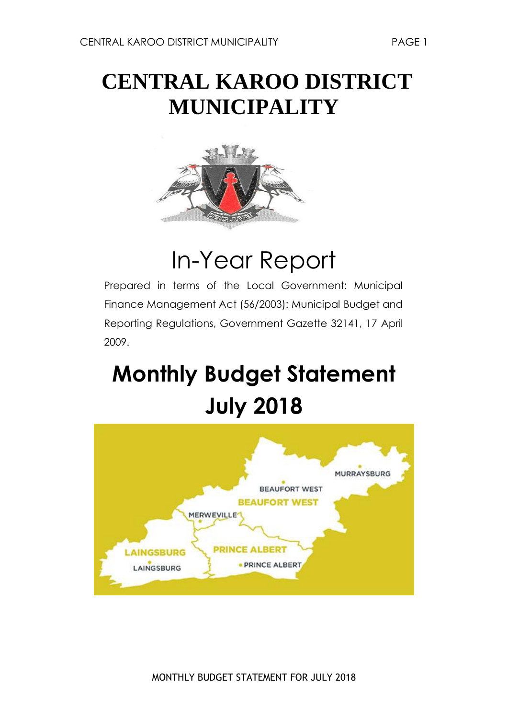# **CENTRAL KAROO DISTRICT MUNICIPALITY**



# In-Year Report

Prepared in terms of the Local Government: Municipal Finance Management Act (56/2003): Municipal Budget and Reporting Regulations, Government Gazette 32141, 17 April 2009.

# **Monthly Budget Statement July 2018**

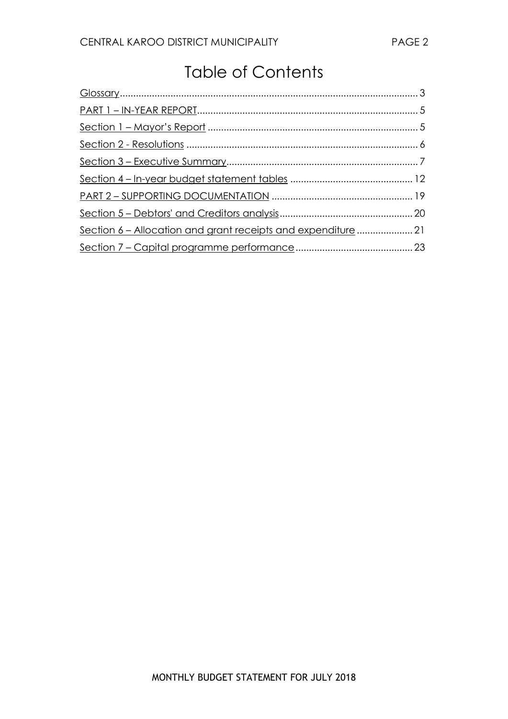### Table of Contents

| Section 6 - Allocation and grant receipts and expenditure  21 |  |
|---------------------------------------------------------------|--|
|                                                               |  |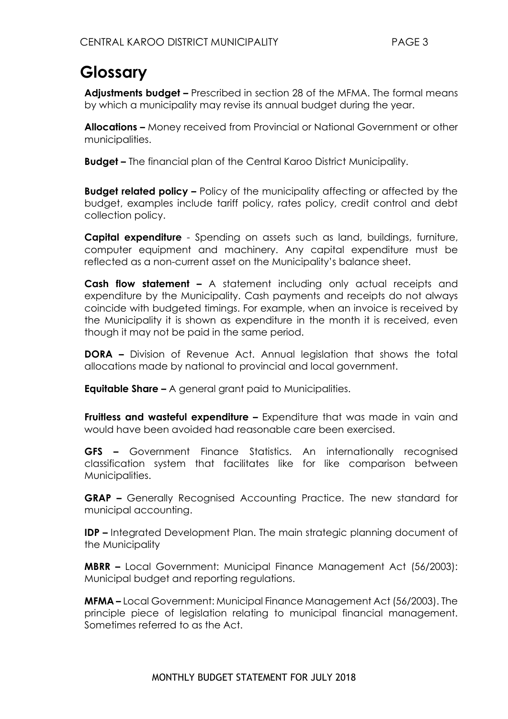### <span id="page-2-0"></span>**Glossary**

**Adjustments budget –** Prescribed in section 28 of the MFMA. The formal means by which a municipality may revise its annual budget during the year.

**Allocations –** Money received from Provincial or National Government or other municipalities.

**Budget –** The financial plan of the Central Karoo District Municipality.

**Budget related policy –** Policy of the municipality affecting or affected by the budget, examples include tariff policy, rates policy, credit control and debt collection policy.

**Capital expenditure** - Spending on assets such as land, buildings, furniture, computer equipment and machinery. Any capital expenditure must be reflected as a non-current asset on the Municipality's balance sheet.

**Cash flow statement –** A statement including only actual receipts and expenditure by the Municipality. Cash payments and receipts do not always coincide with budgeted timings. For example, when an invoice is received by the Municipality it is shown as expenditure in the month it is received, even though it may not be paid in the same period.

**DORA –** Division of Revenue Act. Annual legislation that shows the total allocations made by national to provincial and local government.

**Equitable Share –** A general grant paid to Municipalities.

**Fruitless and wasteful expenditure –** Expenditure that was made in vain and would have been avoided had reasonable care been exercised.

**GFS –** Government Finance Statistics. An internationally recognised classification system that facilitates like for like comparison between Municipalities.

**GRAP –** Generally Recognised Accounting Practice. The new standard for municipal accounting.

**IDP –** Integrated Development Plan. The main strategic planning document of the Municipality

**MBRR –** Local Government: Municipal Finance Management Act (56/2003): Municipal budget and reporting regulations.

**MFMA –** Local Government: Municipal Finance Management Act (56/2003). The principle piece of legislation relating to municipal financial management. Sometimes referred to as the Act.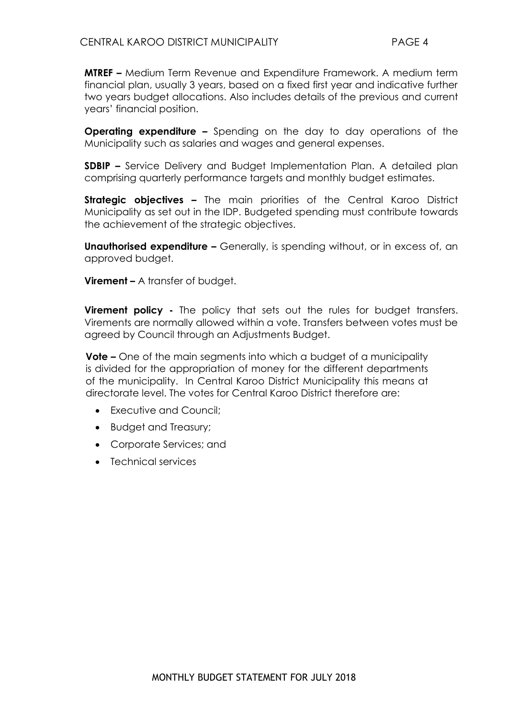**MTREF –** Medium Term Revenue and Expenditure Framework. A medium term financial plan, usually 3 years, based on a fixed first year and indicative further two years budget allocations. Also includes details of the previous and current years' financial position.

**Operating expenditure –** Spending on the day to day operations of the Municipality such as salaries and wages and general expenses.

**SDBIP –** Service Delivery and Budget Implementation Plan. A detailed plan comprising quarterly performance targets and monthly budget estimates.

**Strategic objectives –** The main priorities of the Central Karoo District Municipality as set out in the IDP. Budgeted spending must contribute towards the achievement of the strategic objectives.

**Unauthorised expenditure -** Generally, is spending without, or in excess of, an approved budget.

**Virement –** A transfer of budget.

**Virement policy -** The policy that sets out the rules for budget transfers. Virements are normally allowed within a vote. Transfers between votes must be agreed by Council through an Adjustments Budget.

**Vote –** One of the main segments into which a budget of a municipality is divided for the appropriation of money for the different departments of the municipality. In Central Karoo District Municipality this means at directorate level. The votes for Central Karoo District therefore are:

- Executive and Council:
- Budget and Treasury;
- Corporate Services; and
- Technical services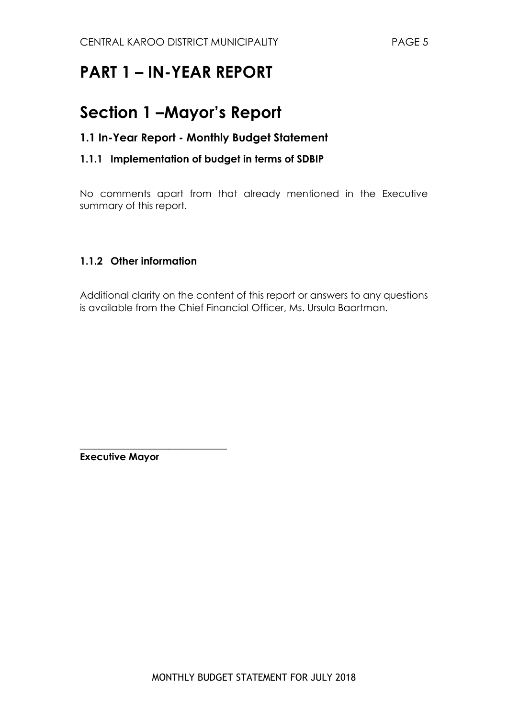### <span id="page-4-1"></span><span id="page-4-0"></span>**PART 1 – IN-YEAR REPORT**

### **Section 1 –Mayor's Report**

#### **1.1 In-Year Report - Monthly Budget Statement**

#### **1.1.1 Implementation of budget in terms of SDBIP**

No comments apart from that already mentioned in the Executive summary of this report.

#### **1.1.2 Other information**

Additional clarity on the content of this report or answers to any questions is available from the Chief Financial Officer, Ms. Ursula Baartman.

\_\_\_\_\_\_\_\_\_\_\_\_\_\_\_\_\_\_\_\_\_\_\_\_\_\_\_\_\_\_ **Executive Mayor**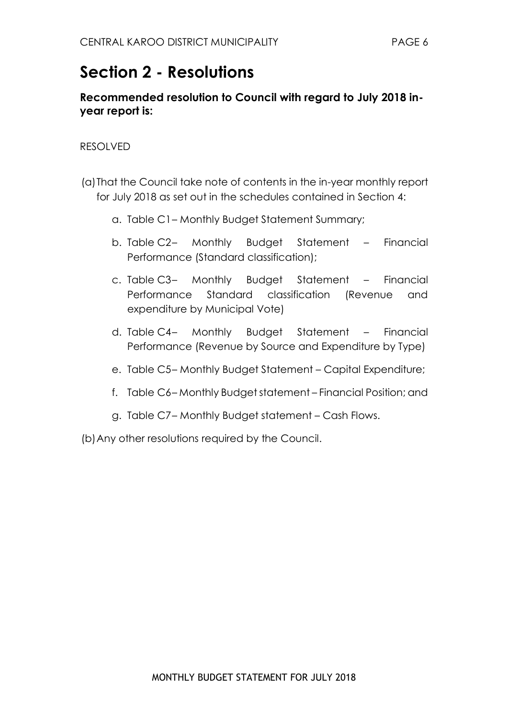### <span id="page-5-0"></span>**Section 2 - Resolutions**

**Recommended resolution to Council with regard to July 2018 inyear report is:**

#### RESOLVED

- (a)That the Council take note of contents in the in-year monthly report for July 2018 as set out in the schedules contained in Section 4:
	- a. Table C1– Monthly Budget Statement Summary;
	- b. Table C2– Monthly Budget Statement Financial Performance (Standard classification);
	- c. Table C3– Monthly Budget Statement Financial Performance Standard classification (Revenue and expenditure by Municipal Vote)
	- d. Table C4– Monthly Budget Statement Financial Performance (Revenue by Source and Expenditure by Type)
	- e. Table C5– Monthly Budget Statement Capital Expenditure;
	- f. Table C6– Monthly Budgetstatement Financial Position; and
	- g. Table C7– Monthly Budget statement Cash Flows.
- (b)Any other resolutions required by the Council.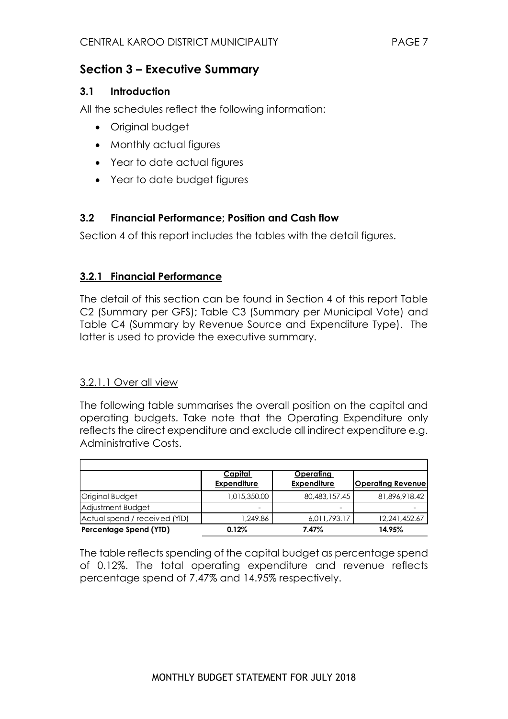#### <span id="page-6-0"></span>**Section 3 – Executive Summary**

#### **3.1 Introduction**

All the schedules reflect the following information:

- Original budget
- Monthly actual figures
- Year to date actual figures
- Year to date budget figures

#### **3.2 Financial Performance; Position and Cash flow**

Section 4 of this report includes the tables with the detail figures.

#### **3.2.1 Financial Performance**

The detail of this section can be found in Section 4 of this report Table C2 (Summary per GFS); Table C3 (Summary per Municipal Vote) and Table C4 (Summary by Revenue Source and Expenditure Type). The latter is used to provide the executive summary.

#### 3.2.1.1 Over all view

The following table summarises the overall position on the capital and operating budgets. Take note that the Operating Expenditure only reflects the direct expenditure and exclude all indirect expenditure e.g. Administrative Costs.

|                               | <u>Capital</u><br><b>Expenditure</b> | <u>Operating</u><br><b>Expenditure</b> | <b>Operating Revenue</b> |
|-------------------------------|--------------------------------------|----------------------------------------|--------------------------|
| Original Budget               | 1,015,350.00                         | 80,483,157.45                          | 81,896,918.42            |
| Adjustment Budget             | -                                    | -                                      |                          |
| Actual spend / received (YID) | 1,249.86                             | 6,011,793.17                           | 12,241,452.67            |
| Percentage Spend (YTD)        | 0.12%                                | 7.47%                                  | 14.95%                   |

The table reflects spending of the capital budget as percentage spend of 0.12%. The total operating expenditure and revenue reflects percentage spend of 7.47% and 14.95% respectively.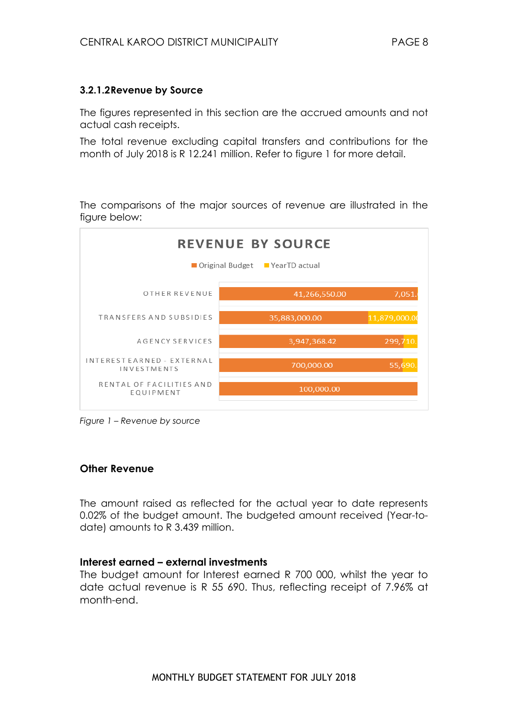#### **3.2.1.2Revenue by Source**

The figures represented in this section are the accrued amounts and not actual cash receipts.

The total revenue excluding capital transfers and contributions for the month of July 2018 is R 12.241 million. Refer to figure 1 for more detail.

The comparisons of the major sources of revenue are illustrated in the figure below:



*Figure 1 – Revenue by source* 

#### **Other Revenue**

The amount raised as reflected for the actual year to date represents 0.02% of the budget amount. The budgeted amount received (Year-todate) amounts to R 3.439 million.

#### **Interest earned – external investments**

The budget amount for Interest earned R 700 000, whilst the year to date actual revenue is R 55 690. Thus, reflecting receipt of 7.96% at month-end.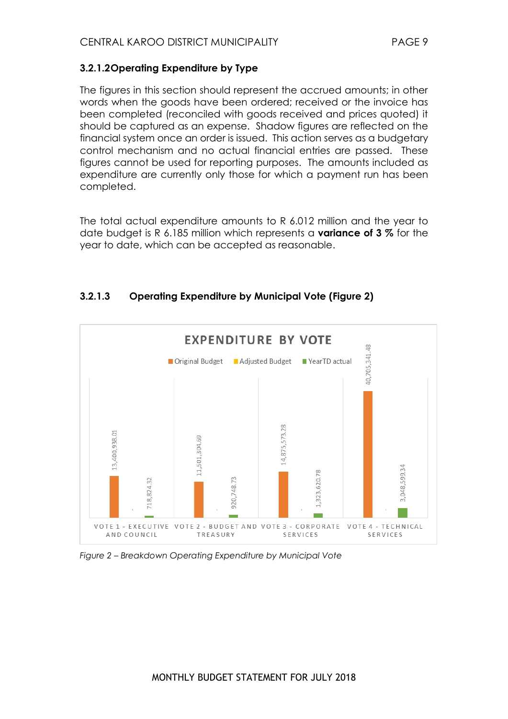#### **3.2.1.2Operating Expenditure by Type**

The figures in this section should represent the accrued amounts; in other words when the goods have been ordered; received or the invoice has been completed (reconciled with goods received and prices quoted) it should be captured as an expense. Shadow figures are reflected on the financial system once an order is issued. This action serves as a budgetary control mechanism and no actual financial entries are passed. These figures cannot be used for reporting purposes. The amounts included as expenditure are currently only those for which a payment run has been completed.

The total actual expenditure amounts to R 6.012 million and the year to date budget is R 6.185 million which represents a **variance of 3 %** for the year to date, which can be accepted as reasonable.

#### **3.2.1.3 Operating Expenditure by Municipal Vote (Figure 2)**



*Figure 2 – Breakdown Operating Expenditure by Municipal Vote*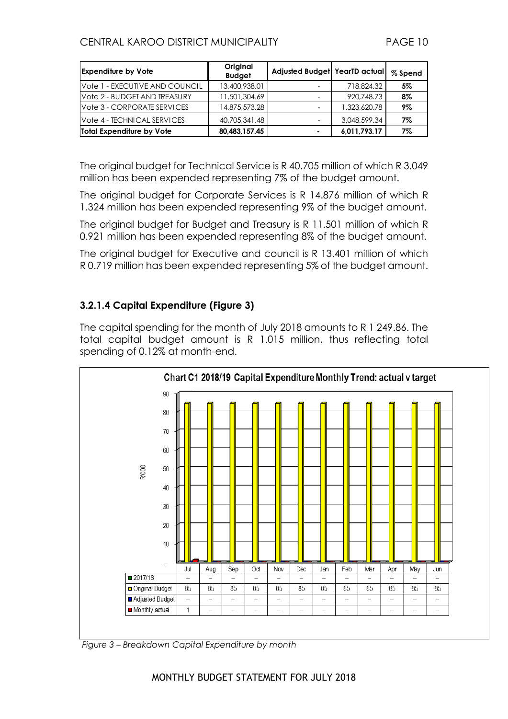#### CENTRAL KAROO DISTRICT MUNICIPALITY PAGE 10

| <b>Expenditure by Vote</b>       | Original<br><b>Budget</b> | Adjusted Budget YearTD actual |              | % Spend |
|----------------------------------|---------------------------|-------------------------------|--------------|---------|
| Vote 1 - EXECUTIVE AND COUNCIL   | 13,400,938.01             | ٠                             | 718,824.32   | 5%      |
| Vote 2 - BUDGET AND TREASURY     | 11,501,304.69             | -                             | 920,748.73   | 8%      |
| Vote 3 - CORPORATE SERVICES      | 14,875,573.28             | $\overline{\phantom{0}}$      | 1,323,620.78 | 9%      |
| Vote 4 - TECHNICAL SERVICES      | 40,705,341.48             | ۰                             | 3,048,599.34 | 7%      |
| <b>Total Expenditure by Vote</b> | 80,483,157.45             | ۰                             | 6,011,793.17 | 7%      |

The original budget for Technical Service is R 40.705 million of which R 3.049 million has been expended representing 7% of the budget amount.

The original budget for Corporate Services is R 14.876 million of which R 1.324 million has been expended representing 9% of the budget amount.

The original budget for Budget and Treasury is R 11.501 million of which R 0.921 million has been expended representing 8% of the budget amount.

The original budget for Executive and council is R 13.401 million of which R 0.719 million has been expended representing 5% of the budget amount.

#### **3.2.1.4 Capital Expenditure (Figure 3)**

The capital spending for the month of July 2018 amounts to R 1 249.86. The total capital budget amount is R 1.015 million, thus reflecting total spending of 0.12% at month-end.



*Figure 3 – Breakdown Capital Expenditure by month*

#### MONTHLY BUDGET STATEMENT FOR JULY 2018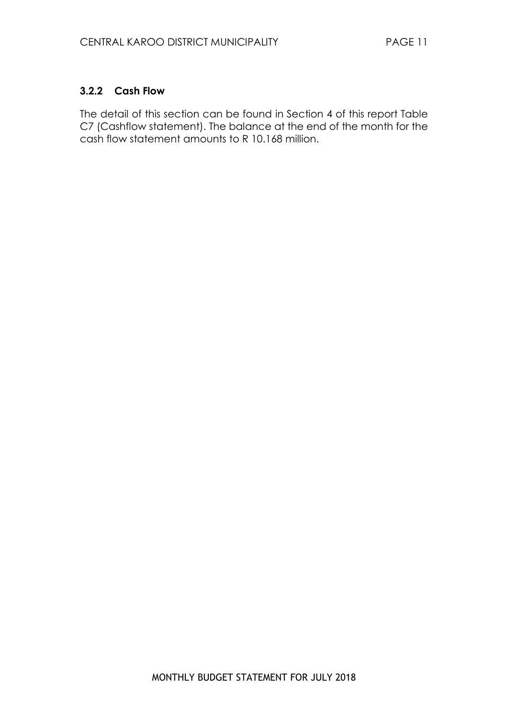#### **3.2.2 Cash Flow**

The detail of this section can be found in Section 4 of this report Table C7 (Cashflow statement). The balance at the end of the month for the cash flow statement amounts to R 10.168 million.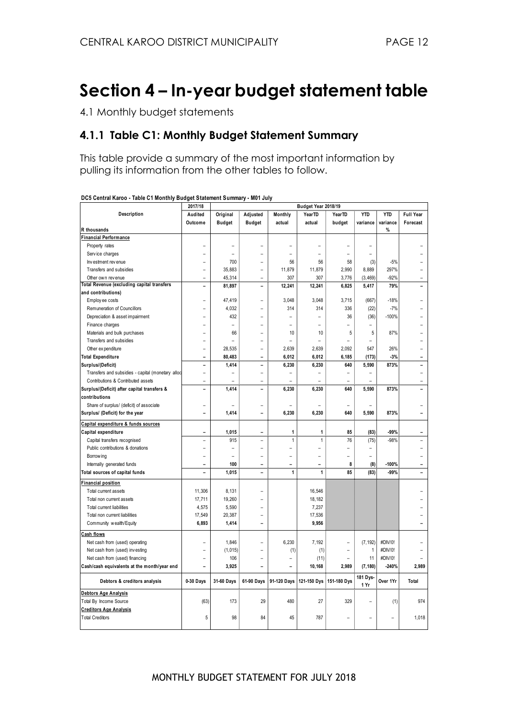### <span id="page-11-0"></span>**Section 4 – In-year budget statement table**

4.1 Monthly budget statements

#### **4.1.1 Table C1: Monthly Budget Statement Summary**

This table provide a summary of the most important information by pulling its information from the other tables to follow.

|                                                   | 2017/18                  |                |                          |                | Budget Year 2018/19     |        |                          |            |                  |
|---------------------------------------------------|--------------------------|----------------|--------------------------|----------------|-------------------------|--------|--------------------------|------------|------------------|
| Description                                       | Audited                  | Original       | Adjusted                 | Monthly        | YearTD                  | YearTD | <b>YTD</b>               | <b>YTD</b> | <b>Full Year</b> |
|                                                   | Outcome                  | <b>Budget</b>  | <b>Budget</b>            | actual         | actual                  | budget | variance                 | variance   | Forecast         |
| R thousands                                       |                          |                |                          |                |                         |        |                          | %          |                  |
| <b>Financial Performance</b>                      |                          |                |                          |                |                         |        |                          |            |                  |
| Property rates                                    |                          | $\overline{a}$ |                          | L.             | L                       |        | ÷.                       |            |                  |
| Service charges                                   |                          |                |                          |                |                         |        |                          |            |                  |
| Investment revenue                                | L.                       | 700            | L.                       | 56             | 56                      | 58     | (3)                      | $-5%$      |                  |
| Transfers and subsidies                           | $\overline{\phantom{0}}$ | 35.883         | $\overline{\phantom{a}}$ | 11,879         | 11,879                  | 2,990  | 8,889                    | 297%       |                  |
| Other own revenue                                 | L                        | 45.314         |                          | 307            | 307                     | 3.776  | (3, 469)                 | $-92%$     |                  |
| <b>Total Revenue (excluding capital transfers</b> | $\overline{a}$           | 81,897         | L.                       | 12,241         | 12,241                  | 6,825  | 5,417                    | 79%        |                  |
| and contributions)                                |                          |                |                          |                |                         |        |                          |            |                  |
| Employ ee costs                                   |                          | 47.419         |                          | 3.048          | 3.048                   | 3.715  | (667)                    | $-18%$     |                  |
| Remuneration of Councillors                       | L.                       | 4,032          | $\overline{a}$           | 314            | 314                     | 336    | (22)                     | $-7%$      |                  |
| Depreciation & asset impairment                   |                          | 432            |                          | ÷              | L                       | 36     | (36)                     | $-100%$    |                  |
| Finance charges                                   |                          | $\overline{a}$ |                          | $\overline{a}$ | $\overline{a}$          |        | L.                       |            |                  |
| Materials and bulk purchases                      |                          | 66             |                          | 10             | 10                      | 5      | 5                        | 87%        |                  |
| Transfers and subsidies                           |                          |                |                          |                |                         |        |                          |            |                  |
| Other expenditure                                 | $\rightarrow$            | 28.535         | ÷,                       | 2,639          | 2,639                   | 2.092  | 547                      | 26%        |                  |
| <b>Total Expenditure</b>                          | -                        | 80,483         |                          | 6,012          | 6,012                   | 6,185  | (173)                    | $-3%$      |                  |
| Surplus/(Deficit)                                 | $\overline{\phantom{0}}$ | 1,414          | $\overline{\phantom{a}}$ | 6,230          | 6,230                   | 640    | 5,590                    | 873%       |                  |
| Transfers and subsidies - capital (monetary alloc | L,                       | $\overline{a}$ | $\overline{\phantom{0}}$ | L              | L,                      |        | L,                       |            |                  |
| Contributions & Contributed assets                | L.                       | L.             | L.                       | L.             | L                       | L.     | L.                       |            |                  |
| Surplus/(Deficit) after capital transfers &       | $\overline{\phantom{0}}$ | 1,414          | $\overline{\phantom{0}}$ | 6,230          | 6,230                   | 640    | 5,590                    | 873%       |                  |
| contributions                                     |                          |                |                          |                |                         |        |                          |            |                  |
| Share of surplus/ (deficit) of associate          | L.                       |                |                          |                |                         |        |                          |            |                  |
| Surplus/ (Deficit) for the year                   |                          | 1,414          | $\overline{a}$           | 6,230          | 6,230                   | 640    | 5,590                    | 873%       |                  |
|                                                   |                          |                |                          |                |                         |        |                          |            |                  |
| Capital expenditure & funds sources               |                          |                |                          |                |                         |        |                          |            |                  |
| Capital expenditure                               |                          | 1,015          |                          | 1              | 1                       | 85     | (83)                     | -99%       |                  |
| Capital transfers recognised                      | ÷,                       | 915            | $\overline{a}$           | $\mathbf{1}$   | $\mathbf{1}$            | 76     | (75)                     | $-98%$     |                  |
| Public contributions & donations                  | $\rightarrow$            | L,             | ۳                        |                | L                       | ۳      | $\overline{\phantom{0}}$ |            |                  |
| Borrow ing                                        |                          |                |                          |                | $\overline{a}$          |        | -                        |            |                  |
| Internally generated funds                        | ۳                        | 100            | ۳                        | ۳              | $\overline{a}$          | 8      | (8)                      | $-100%$    |                  |
| Total sources of capital funds                    |                          | 1,015          |                          | 1              | 1                       | 85     | (83)                     | -99%       |                  |
| <b>Financial position</b>                         |                          |                |                          |                |                         |        |                          |            |                  |
| Total current assets                              | 11,306                   | 8,131          | ۳                        |                | 16,546                  |        |                          |            |                  |
| Total non current assets                          | 17,711                   | 19,260         |                          |                | 18,182                  |        |                          |            |                  |
| Total current liabilities                         | 4,575                    | 5,590          |                          |                | 7,237                   |        |                          |            |                  |
| Total non current liabilities                     | 17,549                   | 20,387         |                          |                | 17,536                  |        |                          |            |                  |
| Community wealth/Equity                           | 6,893                    | 1,414          |                          |                | 9,956                   |        |                          |            |                  |
| <b>Cash flows</b>                                 |                          |                |                          |                |                         |        |                          |            |                  |
| Net cash from (used) operating                    |                          | 1,846          | $\overline{\phantom{0}}$ | 6,230          | 7,192                   |        | (7, 192)                 | #DIV/0!    |                  |
|                                                   |                          | (1,015)        |                          |                |                         |        | 1                        | #DIV/0!    |                  |
| Net cash from (used) investing                    |                          | 106            |                          | (1)<br>-       | (1)                     |        |                          | #DIV/0!    |                  |
| Net cash from (used) financing                    | L                        |                | $\overline{a}$           |                | (11)<br>10,168          | 2,989  | 11                       | $-240%$    | 2,989            |
| Cash/cash equivalents at the month/year end       |                          | 3,925          |                          |                |                         |        | (7, 180)                 |            |                  |
| Debtors & creditors analysis                      | 0-30 Days                | 31-60 Days     | 61-90 Days               | 91-120 Days    | 121-150 Dys 151-180 Dys |        | 181 Dys-<br>1 Yr         | Over 1Yr   | Total            |
| <b>Debtors Age Analysis</b>                       |                          |                |                          |                |                         |        |                          |            |                  |
| Total By Income Source                            | (63)                     | 173            | 29                       | 480            | 27                      | 329    |                          | (1)        | 974              |
| <b>Creditors Age Analysis</b>                     |                          |                |                          |                |                         |        |                          |            |                  |
| <b>Total Creditors</b>                            | 5                        | 98             | 84                       | 45             | 787                     |        |                          |            | 1,018            |
|                                                   |                          |                |                          |                |                         |        |                          |            |                  |

**DC5 Central Karoo - Table C1 Monthly Budget Statement Summary - M01 July**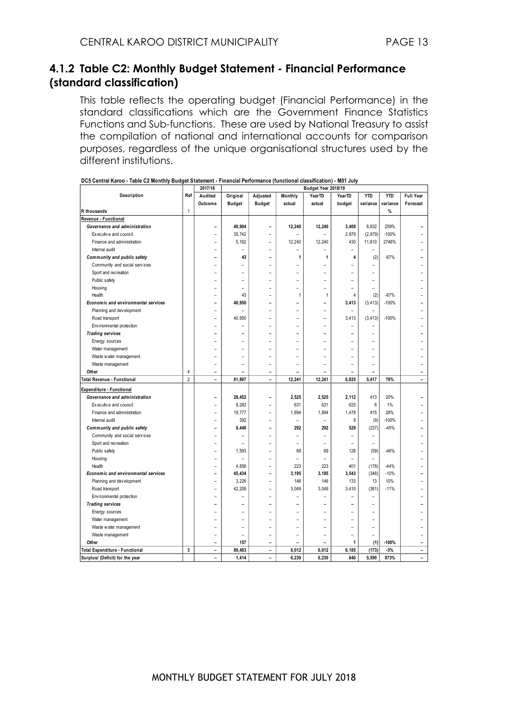#### **4.1.2 Table C2: Monthly Budget Statement - Financial Performance (standard classification)**

This table reflects the operating budget (Financial Performance) in the standard classifications which are the Government Finance Statistics Functions and Sub-functions. These are used by National Treasury to assist the compilation of national and international accounts for comparison purposes, regardless of the unique organisational structures used by the different institutions.

| Description<br>Original<br>Adjusted<br>Ref<br>Audited<br>Monthly<br>YearTD<br>YearTD<br><b>YTD</b><br><b>YTD</b>                                         | <b>Full Year</b> |
|----------------------------------------------------------------------------------------------------------------------------------------------------------|------------------|
| <b>Budget</b><br>Outcome<br><b>Budget</b><br>actual<br>actual<br>budget<br>variance<br>variance                                                          | Forecast         |
| %<br>R thousands<br>$\mathbf{1}$                                                                                                                         |                  |
| Revenue - Functional                                                                                                                                     |                  |
| 40,904<br>12,240<br>12,240<br>3,409<br>8,832<br>259%<br>Governance and administration                                                                    |                  |
| 35,742<br>2,979<br>(2,979)<br>$-100%$<br>Executive and council<br>۳                                                                                      |                  |
| 5,162<br>12,240<br>12,240<br>430<br>11,810<br>2746%<br>Finance and administration<br>۰                                                                   |                  |
| Internal audit<br>÷<br>$\overline{a}$<br>$\equiv$<br>$\overline{a}$<br>۰                                                                                 |                  |
| (2)<br>$-67%$<br>Community and public safety<br>43<br>1<br>1<br>4                                                                                        |                  |
| Community and social services                                                                                                                            |                  |
| Sport and recreation<br>L                                                                                                                                |                  |
| Public safety<br>L.                                                                                                                                      |                  |
| Housing<br>L<br>L,                                                                                                                                       |                  |
| 43<br>1<br>1<br>$-67%$<br>Health<br>4<br>(2)                                                                                                             |                  |
| 40,950<br>3,413<br>$-100%$<br>Economic and environmental services<br>(3, 413)                                                                            |                  |
| Planning and development<br>L.<br>$\overline{a}$<br>÷<br>۰                                                                                               |                  |
| 40,950<br>3,413<br>(3, 413)<br>$-100%$<br>Road transport<br>$\overline{a}$<br>$\overline{a}$                                                             |                  |
| Env ironmental protection                                                                                                                                |                  |
| <b>Trading services</b><br>L                                                                                                                             |                  |
| Energy sources                                                                                                                                           |                  |
| Water management<br>L.                                                                                                                                   |                  |
| Waste water management                                                                                                                                   |                  |
| Waste management<br>L.<br>L,<br>L<br>۰                                                                                                                   |                  |
| Other<br>4<br>۰<br>-                                                                                                                                     |                  |
| $\overline{2}$<br><b>Total Revenue - Functional</b><br>81,897<br>12,241<br>12,241<br>6,825<br>5,417<br>79%<br>$\blacksquare$<br>$\overline{\phantom{a}}$ | $\blacksquare$   |
| <b>Expenditure - Functional</b>                                                                                                                          |                  |
| 28,452<br>2,525<br>2,525<br>2,112<br>413<br>20%<br>Governance and administration<br>$\overline{a}$<br>÷                                                  |                  |
| 8,283<br>631<br>631<br>625<br>1%<br>6<br>Executive and council<br>۰                                                                                      |                  |
| 19,777<br>1,894<br>1,894<br>1,478<br>415<br>28%<br>Finance and administration<br>۰                                                                       |                  |
| 392<br>9<br>$-100%$<br>Internal audit<br>(9)<br>۳<br>÷<br>۰                                                                                              |                  |
| 6,440<br>292<br>292<br>529<br>(237)<br>-45%<br>Community and public safety<br>$\overline{a}$                                                             |                  |
| Community and social services<br>-<br>$\overline{a}$                                                                                                     |                  |
| Sport and recreation<br>L,<br>L<br>÷<br>۳                                                                                                                |                  |
| Public safety<br>1,583<br>69<br>69<br>128<br>(59)<br>$-46%$                                                                                              |                  |
| Housing<br>L.<br>L<br>÷<br>$\overline{\phantom{a}}$                                                                                                      |                  |
| 4,856<br>223<br>223<br>401<br>(178)<br>$-44%$<br>Health                                                                                                  |                  |
| 45,434<br>3,195<br>3,195<br>3,543<br>(348)<br>$-10%$<br>Economic and environmental services<br>$\overline{a}$                                            |                  |
| 3,226<br>146<br>146<br>133<br>13<br>10%<br>Planning and development<br>۰                                                                                 |                  |
| 42,208<br>3,049<br>3,049<br>3,410<br>(361)<br>$-11%$<br>Road transport<br>$\overline{\phantom{a}}$                                                       |                  |
| Env ironmental protection<br>÷<br>÷                                                                                                                      |                  |
| <b>Trading services</b><br>L                                                                                                                             |                  |
| Energy sources                                                                                                                                           |                  |
| Water management<br>L,                                                                                                                                   |                  |
| Waste water management                                                                                                                                   |                  |
| Waste management<br>L,<br>-<br>L<br>۰<br>L,<br>L,                                                                                                        |                  |
| 157<br>Other<br>1<br>(1)<br>$-100%$<br>$\overline{\phantom{0}}$<br>$\overline{\phantom{0}}$<br>۰<br>۰                                                    |                  |
| <b>Total Expenditure - Functional</b><br>3<br>80,483<br>6,012<br>6,012<br>6,185<br>(173)<br>$-3%$<br>$\blacksquare$<br>$\blacksquare$                    | $\blacksquare$   |
| 1,414<br>6,230<br>6,230<br>640<br>5,590<br>873%<br>Surplus/ (Deficit) for the year<br>۰<br>۰                                                             | ۰                |

**DC5 Central Karoo - Table C2 Monthly Budget Statement - Financial Performance (functional classification) - M01 July**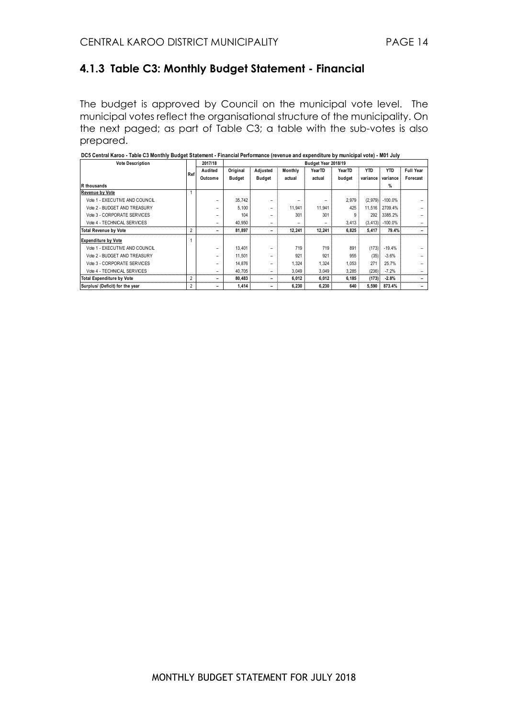#### **4.1.3 Table C3: Monthly Budget Statement - Financial**

The budget is approved by Council on the municipal vote level. The municipal votes reflect the organisational structure of the municipality. On the next paged; as part of Table C3; a table with the sub-votes is also prepared.

| <b>Vote Description</b>          |                | 2017/18 | Budget Year 2018/19 |                          |         |        |        |            |            |                  |  |
|----------------------------------|----------------|---------|---------------------|--------------------------|---------|--------|--------|------------|------------|------------------|--|
|                                  | Ref            | Audited | Original            | Adjusted                 | Monthly | YearTD | YearTD | <b>YTD</b> | <b>YTD</b> | <b>Full Year</b> |  |
|                                  |                | Outcome | Budget              | Budget                   | actual  | actual | budget | variance   | variance   | Forecast         |  |
| R thousands                      |                |         |                     |                          |         |        |        |            | %          |                  |  |
| <b>Revenue by Vote</b>           |                |         |                     |                          |         |        |        |            |            |                  |  |
| Vote 1 - EXECUTIVE AND COUNCIL   |                |         | 35.742              | -                        |         |        | 2.979  | (2,979)    | $-100.0\%$ |                  |  |
| Vote 2 - BUDGET AND TREASURY     |                |         | 5.100               | -                        | 11,941  | 11.941 | 425    | 11,516     | 2709.4%    |                  |  |
| Vote 3 - CORPORATE SERVICES      |                |         | 104                 |                          | 301     | 301    | 9      | 292        | 3385.2%    |                  |  |
| Vote 4 - TECHNICAL SERVICES      |                |         | 40.950              | -                        | ۰       |        | 3.413  | (3, 413)   | $-100.0\%$ |                  |  |
| <b>Total Revenue by Vote</b>     | $\overline{2}$ |         | 81.897              | -                        | 12.241  | 12.241 | 6.825  | 5.417      | 79.4%      |                  |  |
| <b>Expenditure by Vote</b>       |                |         |                     |                          |         |        |        |            |            |                  |  |
| Vote 1 - EXECUTIVE AND COUNCIL   |                | -       | 13.401              | -                        | 719     | 719    | 891    | (173)      | $-19.4%$   |                  |  |
| Vote 2 - BUDGET AND TREASURY     |                |         | 11,501              |                          | 921     | 921    | 955    | (35)       | $-3.6%$    |                  |  |
| Vote 3 - CORPORATE SERVICES      |                |         | 14.876              | -                        | 1.324   | 1,324  | 1,053  | 271        | 25.7%      |                  |  |
| Vote 4 - TECHNICAL SERVICES      |                |         | 40.705              | $\overline{\phantom{a}}$ | 3.049   | 3.049  | 3.285  | (236)      | $-7.2%$    |                  |  |
| <b>Total Expenditure by Vote</b> | $\overline{2}$ |         | 80.483              |                          | 6.012   | 6.012  | 6.185  | (173)      | $-2.8%$    |                  |  |
| Surplus/ (Deficit) for the year  | $\overline{2}$ |         | 1.414               | -                        | 6.230   | 6.230  | 640    | 5.590      | 873.4%     |                  |  |

| DC5 Central Karoo - Table C3 Monthly Budget Statement - Financial Performance (revenue and expenditure by municipal vote) - M01 July |
|--------------------------------------------------------------------------------------------------------------------------------------|
|--------------------------------------------------------------------------------------------------------------------------------------|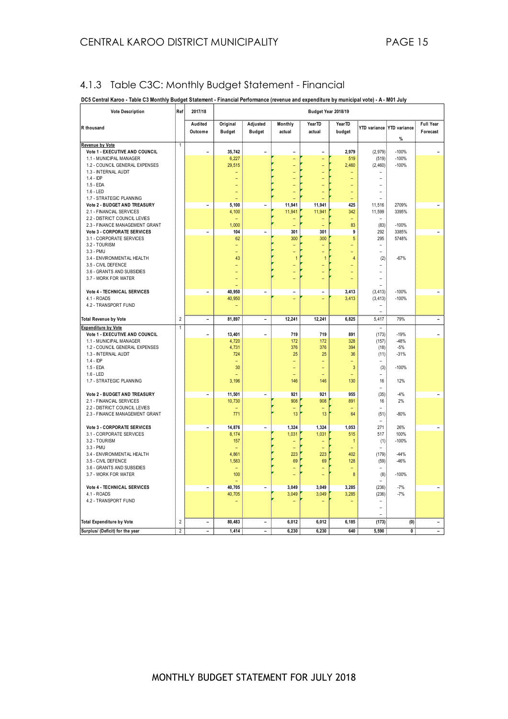#### 4.1.3 Table C3C: Monthly Budget Statement - Financial

| DC5 Central Karoo - Table C3 Monthly Budget Statement - Financial Performance (revenue and expenditure by municipal vote) - A - M01 July |  |  |  |
|------------------------------------------------------------------------------------------------------------------------------------------|--|--|--|
|                                                                                                                                          |  |  |  |

| <b>Vote Description</b>                                | Ref            | 2017/18                  |                |                |                               |                               | Budget Year 2018/19      |                                  |                           |                  |
|--------------------------------------------------------|----------------|--------------------------|----------------|----------------|-------------------------------|-------------------------------|--------------------------|----------------------------------|---------------------------|------------------|
| R thousand                                             |                | Audited                  | Original       | Adjusted       | Monthly                       | YearTD                        | YearTD                   |                                  | YTD variance YTD variance | <b>Full Year</b> |
|                                                        |                | Outcome                  | <b>Budget</b>  | <b>Budget</b>  | actual                        | actual                        | budget                   |                                  | %                         | Forecast         |
| Revenue by Vote                                        | $\mathbf{1}$   |                          |                |                |                               |                               |                          |                                  |                           |                  |
| Vote 1 - EXECUTIVE AND COUNCIL                         |                | $\overline{a}$           | 35,742         |                | ۰                             | $\qquad \qquad$               | 2,979                    | (2,979)                          | $-100%$                   |                  |
| 1.1 - MUNICIPAL MANAGER                                |                |                          | 6,227          |                |                               | ۳                             | 519                      | (519)                            | $-100%$                   |                  |
| 1.2 - COUNCIL GENERAL EXPENSES                         |                |                          | 29,515         |                |                               |                               | 2,460                    | (2,460)                          | $-100%$                   |                  |
| 1.3 - INTERNAL AUDIT                                   |                |                          |                |                |                               |                               |                          |                                  |                           |                  |
| $1.4 - IDP$<br>$1.5 - EDA$                             |                |                          |                |                |                               |                               | ۳                        | ۰                                |                           |                  |
| $1.6 - LED$                                            |                |                          |                |                |                               |                               | ۳                        |                                  |                           |                  |
| 1.7 - STRATEGIC PLANNING                               |                |                          | ٠              |                |                               |                               | ٠                        |                                  |                           |                  |
| Vote 2 - BUDGET AND TREASURY                           |                | $\overline{\phantom{a}}$ | 5,100          | -              | 11,941                        | 11,941                        | 425                      | 11,516                           | 2709%                     |                  |
| 2.1 - FINANCIAL SERVICES                               |                |                          | 4,100          |                | 11,941                        | 11,941                        | 342                      | 11,599                           | 3395%                     |                  |
| 2.2 - DISTRICT COUNCIL LEVIES                          |                |                          |                |                |                               |                               | Ξ                        | ۰                                |                           |                  |
| 2.3 - FINANCE MANAGEMENT GRANT                         |                |                          | 1.000          |                | ۳                             |                               | 83                       | (83)                             | $-100%$                   |                  |
| Vote 3 - CORPORATE SERVICES                            |                | $\overline{a}$           | 104            | -              | 301                           | 301                           | 9                        | 292                              | 3385%                     |                  |
| 3.1 - CORPORATE SERVICES                               |                |                          | 62             |                | 300                           | 300                           | 5                        | 295                              | 5748%                     |                  |
| 3.2 - TOURISM                                          |                |                          |                |                |                               |                               |                          | Ĭ.                               |                           |                  |
| 3.3 - PMU                                              |                |                          |                |                |                               |                               | ÷                        | $\overline{a}$                   |                           |                  |
| 3.4 - ENVIRONMENTAL HEALTH                             |                |                          | 43             |                | $\overline{1}$                | 1                             | $\overline{4}$           | (2)                              | $-67%$                    |                  |
| 3.5 - CIVIL DEFENCE                                    |                |                          |                |                |                               |                               |                          | ۳                                |                           |                  |
| 3.6 - GRANTS AND SUBSIDIES<br>3.7 - WORK FOR WATER     |                |                          | Ξ<br>÷         |                | ۳<br>$\overline{\phantom{0}}$ | ۳<br>$\overline{\phantom{a}}$ | L,<br>L,                 | ۳<br>Ĭ.                          |                           |                  |
|                                                        |                |                          |                |                |                               |                               |                          |                                  |                           |                  |
| Vote 4 - TECHNICAL SERVICES                            |                | $\qquad \qquad -$        | 40,950         | -              | $\sim$                        | $\overline{\phantom{m}}$      | 3,413                    | (3, 413)                         | $-100%$                   |                  |
| 4.1 - ROADS                                            |                |                          | 40,950         |                | $\overline{\phantom{0}}$      | $\overline{\phantom{0}}$      | 3,413                    | (3, 413)                         | $-100%$                   |                  |
| 4.2 - TRANSPORT FUND                                   |                |                          |                |                |                               |                               |                          |                                  |                           |                  |
|                                                        |                |                          |                |                |                               |                               |                          |                                  |                           |                  |
| <b>Total Revenue by Vote</b>                           | $\overline{2}$ | $\overline{\phantom{a}}$ | 81,897         | -              | 12,241                        | 12,241                        | 6,825                    | 5,417                            | 79%                       | ÷                |
| <b>Expenditure by Vote</b>                             | $\overline{1}$ |                          |                |                |                               |                               |                          | ٠                                |                           |                  |
| Vote 1 - EXECUTIVE AND COUNCIL                         |                | ۰                        | 13,401         | $\overline{a}$ | 719                           | 719                           | 891                      | (173)                            | $-19%$                    |                  |
| 1.1 - MUNICIPAL MANAGER                                |                |                          | 4,720          |                | 172<br>376                    | 172<br>376                    | 328<br>394               | (157)                            | -48%                      |                  |
| 1.2 - COUNCIL GENERAL EXPENSES<br>1.3 - INTERNAL AUDIT |                |                          | 4,731<br>724   |                | 25                            | 25                            | 36                       | (18)<br>(11)                     | $-5%$<br>$-31%$           |                  |
| $1.4 -$ IDP                                            |                |                          |                |                | $\overline{\phantom{0}}$      | ۳                             | Ξ                        | $\overline{a}$                   |                           |                  |
| $1.5 - EDA$                                            |                |                          | 30             |                | $\overline{\phantom{a}}$      | $\overline{\phantom{0}}$      | $\mathbf{3}$             | (3)                              | $-100%$                   |                  |
| $1.6 - LED$                                            |                |                          |                |                | ÷                             | $\equiv$                      | ÷                        | $\overline{\phantom{a}}$         |                           |                  |
| 1.7 - STRATEGIC PLANNING                               |                |                          | 3,196          |                | 146                           | 146                           | 130                      | 16                               | 12%                       |                  |
| Vote 2 - BUDGET AND TREASURY                           |                | $\overline{\phantom{0}}$ | 11,501         | -              | 921                           | 921                           | 955                      | $\overline{\phantom{0}}$<br>(35) | $-4%$                     |                  |
| 2.1 - FINANCIAL SERVICES                               |                |                          | 10,730         |                | 908                           | 908                           | 891                      | 16                               | 2%                        |                  |
| 2.2 - DISTRICT COUNCIL LEVIES                          |                |                          |                |                | $\overline{\phantom{a}}$      | $\overline{\phantom{0}}$      | -                        | ٠                                |                           |                  |
| 2.3 - FINANCE MANAGEMENT GRANT                         |                |                          | 771            |                | 13                            | 13                            | 64                       | (51)                             | $-80%$                    |                  |
|                                                        |                |                          |                |                |                               |                               |                          |                                  |                           |                  |
| Vote 3 - CORPORATE SERVICES                            |                | $\overline{\phantom{0}}$ | 14,876         | -              | 1,324                         | 1,324                         | 1.053                    | 271                              | 26%                       |                  |
| 3.1 - CORPORATE SERVICES                               |                |                          | 8,174          |                | 1,031                         | 1,031                         | 515                      | 517                              | 100%                      |                  |
| 3.2 - TOURISM                                          |                |                          | 157            |                | ٠                             | ٠                             | 1                        | (1)                              | $-100%$                   |                  |
| 3.3 - PMU                                              |                |                          |                |                | ٠                             | ٠                             | ۳                        | ۰                                |                           |                  |
| 3.4 - ENVIRONMENTAL HEALTH<br>3.5 - CIVIL DEFENCE      |                |                          | 4,861<br>1,583 |                | 223<br>69                     | 223<br>69                     | 402<br>128               | (179)<br>(59)                    | $-44%$<br>-46%            |                  |
| 3.6 - GRANTS AND SUBSIDIES                             |                |                          |                |                | $\overline{\phantom{0}}$      | $\overline{\phantom{a}}$      | $\overline{\phantom{0}}$ |                                  |                           |                  |
| 3.7 - WORK FOR WATER                                   |                |                          | 100            |                | ÷                             | ۰                             | 8                        | (8)                              | $-100%$                   |                  |
|                                                        |                |                          |                |                |                               |                               |                          | ۰                                |                           |                  |
| Vote 4 - TECHNICAL SERVICES                            |                | $\blacksquare$           | 40,705         | $\overline{a}$ | 3,049                         | 3,049                         | 3,285                    | (236)                            | $-7%$                     |                  |
| 4.1 - ROADS                                            |                |                          | 40,705         |                | 3,049                         | 3,049                         | 3,285                    | (236)                            | $-7%$                     |                  |
| 4.2 - TRANSPORT FUND                                   |                |                          |                |                |                               |                               |                          | ۰                                |                           |                  |
|                                                        |                |                          |                |                |                               |                               |                          |                                  |                           |                  |
| <b>Total Expenditure by Vote</b>                       | 2              | -                        | 80,483         | -              | 6,012                         | 6,012                         | 6,185                    | (173)                            | (0)                       |                  |
| Surplus/ (Deficit) for the year                        | $\overline{2}$ | $\overline{\phantom{0}}$ | 1,414          | -              | 6.230                         | 6.230                         | 640                      | 5,590                            | $\overline{\mathbf{0}}$   | -                |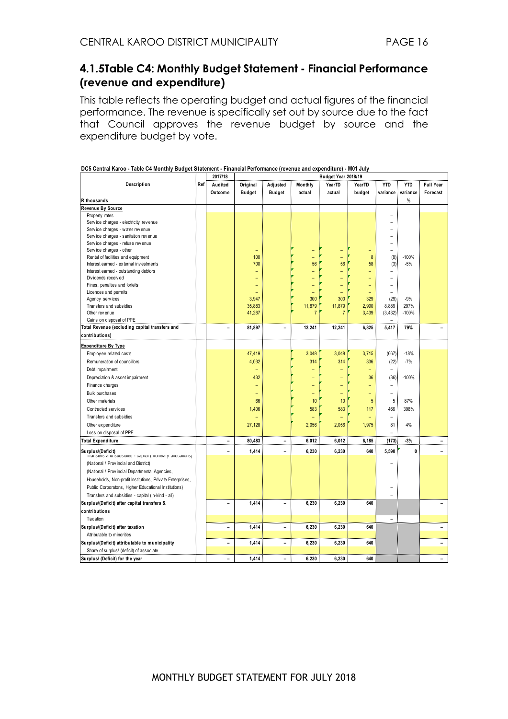#### **4.1.5Table C4: Monthly Budget Statement - Financial Performance (revenue and expenditure)**

This table reflects the operating budget and actual figures of the financial performance. The revenue is specifically set out by source due to the fact that Council approves the revenue budget by source and the expenditure budget by vote.

|                                                                               |     | 2017/18                      |                          |                              |                          | Budget Year 2018/19 |                  |                          |            |                              |
|-------------------------------------------------------------------------------|-----|------------------------------|--------------------------|------------------------------|--------------------------|---------------------|------------------|--------------------------|------------|------------------------------|
| Description                                                                   | Ref | Audited                      | Original                 | Adjusted                     | Monthly                  | YearTD              | YearTD           | <b>YTD</b>               | <b>YTD</b> | <b>Full Year</b>             |
|                                                                               |     | Outcome                      | <b>Budget</b>            | <b>Budget</b>                | actual                   | actual              | budget           | variance                 | variance   | Forecast                     |
| R thousands                                                                   |     |                              |                          |                              |                          |                     |                  |                          | %          |                              |
| Revenue By Source                                                             |     |                              |                          |                              |                          |                     |                  |                          |            |                              |
| Property rates                                                                |     |                              |                          |                              |                          |                     |                  |                          |            |                              |
| Service charges - electricity revenue                                         |     |                              |                          |                              |                          |                     |                  |                          |            |                              |
| Service charges - water revenue                                               |     |                              |                          |                              |                          |                     |                  |                          |            |                              |
| Service charges - sanitation revenue                                          |     |                              |                          |                              |                          |                     |                  |                          |            |                              |
| Service charges - refuse revenue                                              |     |                              |                          |                              |                          |                     |                  | ÷.                       |            |                              |
| Service charges - other                                                       |     |                              | ۳                        |                              | $\overline{\phantom{0}}$ |                     |                  | ٠                        |            |                              |
| Rental of facilities and equipment                                            |     |                              | 100                      |                              |                          |                     | $\boldsymbol{8}$ | (8)                      | $-100%$    |                              |
| Interest earned - external investments                                        |     |                              | 700                      |                              | 56                       | 56                  | 58               | (3)                      | $-5%$      |                              |
| Interest earned - outstanding debtors                                         |     |                              | ٠                        |                              |                          |                     |                  | $\overline{\phantom{0}}$ |            |                              |
| Dividends received                                                            |     |                              | ٠                        |                              |                          |                     |                  |                          |            |                              |
| Fines, penalties and forfeits                                                 |     |                              | ÷                        |                              |                          |                     |                  | ÷.                       |            |                              |
| Licences and permits                                                          |     |                              | ۳                        |                              |                          |                     |                  |                          |            |                              |
| Agency services                                                               |     |                              | 3,947                    |                              | 300                      | 300                 | 329              | (29)                     | $-9%$      |                              |
| Transfers and subsidies                                                       |     |                              | 35,883                   |                              | 11,879                   | 11,879              | 2,990            | 8,889                    | 297%       |                              |
| Other revenue                                                                 |     |                              | 41,267                   |                              | 7                        | 7                   | 3,439            | (3, 432)                 | $-100%$    |                              |
| Gains on disposal of PPE                                                      |     |                              |                          |                              |                          |                     |                  |                          |            |                              |
| Total Revenue (excluding capital transfers and                                |     | $\overline{\phantom{a}}$     | 81,897                   |                              | 12,241                   | 12,241              | 6,825            | 5,417                    | 79%        |                              |
| contributions)                                                                |     |                              |                          |                              |                          |                     |                  |                          |            |                              |
| <b>Expenditure By Type</b>                                                    |     |                              |                          |                              |                          |                     |                  |                          |            |                              |
| Employ ee related costs                                                       |     |                              | 47,419                   |                              | 3,048                    | 3,048               | 3,715            | (667)                    | $-18%$     |                              |
| Remuneration of councillors                                                   |     |                              | 4,032                    |                              | 314                      | 314                 | 336              | (22)                     | $-7%$      |                              |
|                                                                               |     |                              |                          |                              |                          |                     |                  | ۳                        |            |                              |
| Debt impairment                                                               |     |                              | ÷                        |                              |                          |                     | L,               |                          |            |                              |
| Depreciation & asset impairment                                               |     |                              | 432                      |                              |                          |                     | 36               | (36)                     | $-100%$    |                              |
| Finance charges                                                               |     |                              | $\overline{\phantom{0}}$ |                              |                          |                     |                  | $\equiv$                 |            |                              |
| <b>Bulk purchases</b>                                                         |     |                              | $\overline{\phantom{0}}$ |                              |                          |                     |                  | $\overline{\phantom{0}}$ |            |                              |
| Other materials                                                               |     |                              | 66                       |                              | 10                       | 10                  | $\overline{5}$   | 5                        | 87%        |                              |
| Contracted services                                                           |     |                              | 1,406                    |                              | 583                      | 583                 | 117              | 466                      | 398%       |                              |
| Transfers and subsidies                                                       |     |                              |                          |                              | $\overline{\phantom{0}}$ | Ξ                   |                  | ÷,                       |            |                              |
| Other expenditure                                                             |     |                              | 27,128                   |                              | 2,056                    | 2,056               | 1,975            | 81                       | 4%         |                              |
| Loss on disposal of PPE                                                       |     |                              |                          |                              |                          |                     |                  |                          |            |                              |
| <b>Total Expenditure</b>                                                      |     | $\qquad \qquad \blacksquare$ | 80,483                   | $\qquad \qquad \blacksquare$ | 6,012                    | 6,012               | 6,185            | (173)                    | $-3%$      | $\qquad \qquad \blacksquare$ |
|                                                                               |     |                              |                          |                              |                          |                     |                  |                          |            |                              |
| Surplus/(Deficit)<br>rransiers and subsidies - capital (monetary allocations) |     | $\blacksquare$               | 1,414                    | $\blacksquare$               | 6,230                    | 6,230               | 640              | 5,590                    | 0          | $\equiv$                     |
| (National / Provincial and District)                                          |     |                              |                          |                              |                          |                     |                  |                          |            |                              |
| (National / Provincial Departmental Agencies,                                 |     |                              |                          |                              |                          |                     |                  |                          |            |                              |
| Households, Non-profit Institutions, Private Enterprises,                     |     |                              |                          |                              |                          |                     |                  |                          |            |                              |
| Public Corporatons, Higher Educational Institutions)                          |     |                              |                          |                              |                          |                     |                  |                          |            |                              |
| Transfers and subsidies - capital (in-kind - all)                             |     |                              |                          |                              |                          |                     |                  |                          |            |                              |
|                                                                               |     |                              |                          |                              |                          |                     |                  |                          |            |                              |
| Surplus/(Deficit) after capital transfers &                                   |     | $\overline{a}$               | 1,414                    | L.                           | 6,230                    | 6,230               | 640              |                          |            |                              |
| contributions                                                                 |     |                              |                          |                              |                          |                     |                  |                          |            |                              |
| Tax ation                                                                     |     |                              |                          |                              |                          |                     |                  |                          |            |                              |
| Surplus/(Deficit) after taxation                                              |     | $\overline{\phantom{0}}$     | 1,414                    | $\overline{\phantom{0}}$     | 6,230                    | 6,230               | 640              |                          |            |                              |
| Attributable to minorities                                                    |     |                              |                          |                              |                          |                     |                  |                          |            |                              |
| Surplus/(Deficit) attributable to municipality                                |     | $\overline{\phantom{0}}$     | 1,414                    | $\blacksquare$               | 6,230                    | 6,230               | 640              |                          |            | $\blacksquare$               |
| Share of surplus/ (deficit) of associate                                      |     |                              |                          |                              |                          |                     |                  |                          |            |                              |
| Surplus/ (Deficit) for the year                                               |     |                              | 1.414                    |                              | 6.230                    | 6.230               | 640              |                          |            |                              |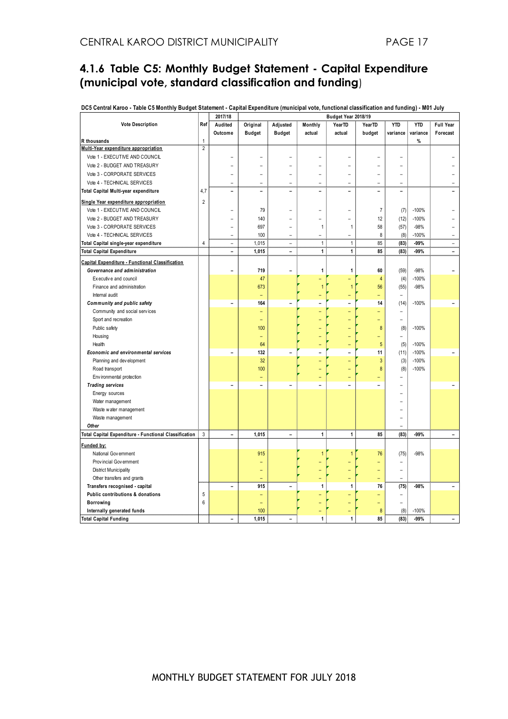#### **4.1.6 Table C5: Monthly Budget Statement - Capital Expenditure (municipal vote, standard classification and funding**)

| DC5 Central Karoo - Table C5 Monthly Budget Statement - Capital Expenditure (municipal vote, functional classification and funding) - M01 July |                |                          |                          |                          |                |                     |                           |                          |            |                          |
|------------------------------------------------------------------------------------------------------------------------------------------------|----------------|--------------------------|--------------------------|--------------------------|----------------|---------------------|---------------------------|--------------------------|------------|--------------------------|
|                                                                                                                                                |                | 2017/18                  |                          |                          |                | Budget Year 2018/19 |                           |                          |            |                          |
| <b>Vote Description</b>                                                                                                                        | Ref            | Audited                  | Original                 | Adjusted                 | Monthly        | YearTD              | YearTD                    | <b>YTD</b>               | <b>YTD</b> | Full Year                |
|                                                                                                                                                |                | Outcome                  | <b>Budget</b>            | <b>Budget</b>            | actual         | actual              | budget                    | variance                 | variance   | Forecast                 |
| R thousands                                                                                                                                    | 1              |                          |                          |                          |                |                     |                           |                          | %          |                          |
| Multi-Year expenditure appropriation                                                                                                           | $\overline{2}$ |                          |                          |                          |                |                     |                           |                          |            |                          |
| Vote 1 - EXECUTIVE AND COUNCIL                                                                                                                 |                |                          |                          |                          |                |                     |                           |                          |            |                          |
| Vote 2 - BUDGET AND TREASURY                                                                                                                   |                |                          |                          |                          |                |                     |                           | L.                       |            |                          |
| Vote 3 - CORPORATE SERVICES                                                                                                                    |                |                          |                          |                          |                |                     |                           |                          |            |                          |
| Vote 4 - TECHNICAL SERVICES                                                                                                                    |                | $\qquad \qquad -$        | ۳                        | ÷                        | ۳              | $\equiv$            | ۳                         | L.                       |            |                          |
| Total Capital Multi-year expenditure                                                                                                           | 4,7            | $\overline{\phantom{0}}$ | $\overline{\phantom{0}}$ |                          | $\overline{a}$ |                     | $\overline{a}$            | $\overline{a}$           |            |                          |
| Single Year expenditure appropriation                                                                                                          | $\overline{2}$ |                          |                          |                          |                |                     |                           |                          |            |                          |
| Vote 1 - EXECUTIVE AND COUNCIL                                                                                                                 |                | $\overline{\phantom{0}}$ | 79                       | $\rightarrow$            | $\equiv$       | ۰                   | $\overline{\mathfrak{c}}$ | (7)                      | $-100%$    |                          |
| Vote 2 - BUDGET AND TREASURY                                                                                                                   |                | -                        | 140                      |                          |                |                     | 12                        | (12)                     | $-100%$    |                          |
| Vote 3 - CORPORATE SERVICES                                                                                                                    |                | $\qquad \qquad -$        | 697                      |                          | 1              | $\mathbf{1}$        | 58                        | (57)                     | $-98%$     |                          |
| Vote 4 - TECHNICAL SERVICES                                                                                                                    |                |                          | 100                      |                          |                |                     | 8                         | (8)                      | $-100%$    |                          |
| Total Capital single-year expenditure                                                                                                          | $\overline{4}$ | $\overline{\phantom{a}}$ | 1,015                    | $\overline{\phantom{a}}$ | $\mathbf{1}$   | $\mathbf{1}$        | 85                        | (83)                     | $-99%$     | -                        |
| <b>Total Capital Expenditure</b>                                                                                                               |                | $\overline{a}$           | 1,015                    | $\overline{a}$           | $\mathbf{1}$   | $\mathbf{1}$        | 85                        | (83)                     | $-99%$     | $\overline{a}$           |
| Capital Expenditure - Functional Classification                                                                                                |                |                          |                          |                          |                |                     |                           |                          |            |                          |
| Governance and administration                                                                                                                  |                |                          | 719                      |                          | 1              | 1                   | 60                        | (59)                     | $-98%$     |                          |
| Executive and council                                                                                                                          |                |                          | 47                       |                          |                |                     | $\overline{4}$            | (4)                      | $-100%$    |                          |
| Finance and administration                                                                                                                     |                |                          | 673                      |                          | 1              | $\mathbf 1$         | 56                        | (55)                     | $-98%$     |                          |
| Internal audit                                                                                                                                 |                |                          | ÷                        |                          |                |                     | ÷                         | ٠                        |            |                          |
| Community and public safety                                                                                                                    |                | $\overline{a}$           | 164                      |                          |                |                     | 14                        | (14)                     | $-100%$    | -                        |
| Community and social services                                                                                                                  |                |                          | ۳                        |                          |                |                     | ۳                         | $\overline{\phantom{0}}$ |            |                          |
| Sport and recreation                                                                                                                           |                |                          | $\overline{\phantom{0}}$ |                          |                |                     | $\overline{\phantom{0}}$  | ٠                        |            |                          |
| Public safety                                                                                                                                  |                |                          | 100                      |                          |                |                     | 8                         | (8)                      | $-100%$    |                          |
| Housing                                                                                                                                        |                |                          |                          |                          |                |                     |                           |                          |            |                          |
| Health                                                                                                                                         |                |                          | 64                       |                          |                |                     | $\sqrt{5}$                | (5)                      | $-100%$    |                          |
| Economic and environmental services                                                                                                            |                | $\overline{\phantom{0}}$ | 132                      |                          |                |                     | 11                        | (11)                     | $-100%$    |                          |
| Planning and development                                                                                                                       |                |                          | 32                       |                          |                |                     | 3                         | (3)                      | $-100%$    |                          |
| Road transport                                                                                                                                 |                |                          | 100                      |                          |                |                     | $\delta$                  | (8)                      | $-100%$    |                          |
| Environmental protection                                                                                                                       |                |                          |                          |                          |                |                     |                           |                          |            |                          |
| <b>Trading services</b>                                                                                                                        |                | $\overline{a}$           | $\overline{\phantom{0}}$ | $\overline{\phantom{0}}$ | $\overline{a}$ | $\overline{a}$      | $\overline{\phantom{0}}$  | $\overline{ }$           |            | $\overline{\phantom{0}}$ |
| Energy sources                                                                                                                                 |                |                          |                          |                          |                |                     |                           |                          |            |                          |
| Water management                                                                                                                               |                |                          |                          |                          |                |                     |                           |                          |            |                          |
| Waste water management                                                                                                                         |                |                          |                          |                          |                |                     |                           |                          |            |                          |
| Waste management                                                                                                                               |                |                          |                          |                          |                |                     |                           |                          |            |                          |
| Other                                                                                                                                          |                |                          |                          |                          |                |                     |                           | $\overline{a}$           |            |                          |
| Total Capital Expenditure - Functional Classification                                                                                          | 3              | $\overline{\phantom{0}}$ | 1,015                    | $\overline{a}$           | $\mathbf{1}$   | 1                   | 85                        | (83)                     | $-99%$     | -                        |
| Funded by:                                                                                                                                     |                |                          |                          |                          |                |                     |                           |                          |            |                          |
| National Government                                                                                                                            |                |                          | 915                      |                          | 1              | $\overline{1}$      |                           |                          | $-98%$     |                          |
| Prov incial Gov ernment                                                                                                                        |                |                          |                          |                          |                |                     | 76                        | (75)                     |            |                          |
|                                                                                                                                                |                |                          |                          |                          |                |                     |                           | $\overline{a}$           |            |                          |
| <b>District Municipality</b><br>Other transfers and grants                                                                                     |                |                          |                          |                          |                |                     | $=$                       | $\rightarrow$            |            |                          |
| Transfers recognised - capital                                                                                                                 |                | $\qquad \qquad -$        | 915                      | $\overline{\phantom{0}}$ | 1              | 1                   | 76                        | (75)                     | $-98%$     |                          |
| Public contributions & donations                                                                                                               | 5              |                          | ۳                        |                          |                |                     |                           | ۳                        |            |                          |
| Borrowing                                                                                                                                      | 6              |                          | ۳                        |                          |                |                     | $\overline{\phantom{0}}$  |                          |            |                          |
| Internally generated funds                                                                                                                     |                |                          | 100                      |                          |                |                     | 8                         | (8)                      | $-100%$    |                          |
| <b>Total Capital Funding</b>                                                                                                                   |                | $\overline{a}$           | 1,015                    |                          | 1              | 1                   | 85                        | (83)                     | $-99%$     | $\overline{\phantom{0}}$ |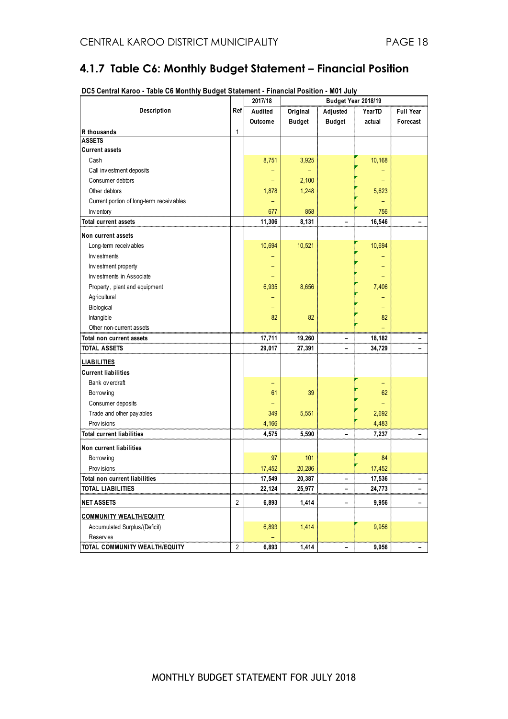#### **4.1.7 Table C6: Monthly Budget Statement – Financial Position**

|                                           |                | 2017/18 | Budget Year 2018/19 |                   |        |                  |  |  |  |
|-------------------------------------------|----------------|---------|---------------------|-------------------|--------|------------------|--|--|--|
| Description                               | Ref            | Audited | Original            | Adjusted          | YearTD | <b>Full Year</b> |  |  |  |
|                                           |                | Outcome | <b>Budget</b>       | <b>Budget</b>     | actual | Forecast         |  |  |  |
| R thousands                               | 1              |         |                     |                   |        |                  |  |  |  |
| <b>ASSETS</b>                             |                |         |                     |                   |        |                  |  |  |  |
| <b>Current assets</b>                     |                |         |                     |                   |        |                  |  |  |  |
| Cash                                      |                | 8,751   | 3,925               |                   | 10,168 |                  |  |  |  |
| Call investment deposits                  |                |         |                     |                   |        |                  |  |  |  |
| Consumer debtors                          |                |         | 2,100               |                   |        |                  |  |  |  |
| Other debtors                             |                | 1,878   | 1,248               |                   | 5,623  |                  |  |  |  |
| Current portion of long-term receiv ables |                |         |                     |                   |        |                  |  |  |  |
| Inv entory                                |                | 677     | 858                 |                   | 756    |                  |  |  |  |
| <b>Total current assets</b>               |                | 11,306  | 8,131               | -                 | 16,546 |                  |  |  |  |
| Non current assets                        |                |         |                     |                   |        |                  |  |  |  |
| Long-term receiv ables                    |                | 10,694  | 10,521              |                   | 10,694 |                  |  |  |  |
| Investments                               |                |         |                     |                   |        |                  |  |  |  |
| Investment property                       |                |         |                     |                   |        |                  |  |  |  |
| Investments in Associate                  |                |         |                     |                   |        |                  |  |  |  |
| Property, plant and equipment             |                | 6,935   | 8,656               |                   | 7,406  |                  |  |  |  |
| Agricultural                              |                |         |                     |                   |        |                  |  |  |  |
| Biological                                |                |         |                     |                   |        |                  |  |  |  |
| Intangible                                |                | 82      | 82                  |                   | 82     |                  |  |  |  |
| Other non-current assets                  |                |         |                     |                   |        |                  |  |  |  |
| Total non current assets                  |                | 17,711  | 19,260              | -                 | 18,182 |                  |  |  |  |
| TOTAL ASSETS                              |                | 29,017  | 27,391              | -                 | 34,729 |                  |  |  |  |
| <b>LIABILITIES</b>                        |                |         |                     |                   |        |                  |  |  |  |
| <b>Current liabilities</b>                |                |         |                     |                   |        |                  |  |  |  |
| Bank ov erdraft                           |                |         |                     |                   |        |                  |  |  |  |
| Borrow ing                                |                | 61      | 39                  |                   | 62     |                  |  |  |  |
| Consumer deposits                         |                |         |                     |                   |        |                  |  |  |  |
| Trade and other pay ables                 |                | 349     | 5,551               |                   | 2,692  |                  |  |  |  |
| Prov isions                               |                | 4,166   |                     |                   | 4,483  |                  |  |  |  |
| <b>Total current liabilities</b>          |                | 4,575   | 5,590               |                   | 7,237  |                  |  |  |  |
| Non current liabilities                   |                |         |                     |                   |        |                  |  |  |  |
| Borrow ing                                |                | 97      | 101                 |                   | 84     |                  |  |  |  |
| Prov isions                               |                | 17,452  | 20,286              |                   | 17,452 |                  |  |  |  |
| Total non current liabilities             |                | 17,549  | 20,387              |                   | 17,536 |                  |  |  |  |
| <b>TOTAL LIABILITIES</b>                  |                | 22,124  | 25,977              |                   | 24,773 |                  |  |  |  |
| <b>NET ASSETS</b>                         | $\overline{2}$ | 6,893   | 1,414               | $\qquad \qquad -$ | 9,956  | -                |  |  |  |
| <b>COMMUNITY WEALTH/EQUITY</b>            |                |         |                     |                   |        |                  |  |  |  |
| Accumulated Surplus/(Deficit)             |                | 6,893   | 1,414               |                   | 9,956  |                  |  |  |  |
| Reserves                                  |                |         |                     |                   |        |                  |  |  |  |
| TOTAL COMMUNITY WEALTH/EQUITY             | 2              | 6,893   | 1,414               |                   | 9,956  |                  |  |  |  |

**DC5 Central Karoo - Table C6 Monthly Budget Statement - Financial Position - M01 July**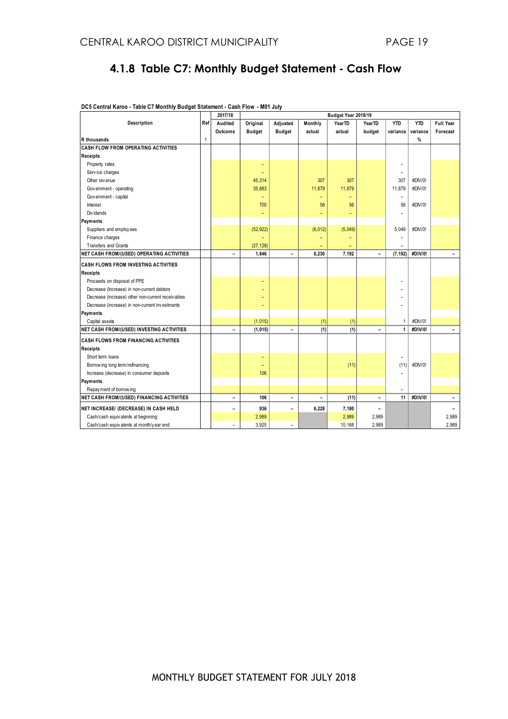### **4.1.8 Table C7: Monthly Budget Statement - Cash Flow**

|                                                   |     | 2017/18                  |               |                          |                          | Budget Year 2018/19 |                          |                          |            |                          |
|---------------------------------------------------|-----|--------------------------|---------------|--------------------------|--------------------------|---------------------|--------------------------|--------------------------|------------|--------------------------|
| Description                                       | Ref | Audited                  | Original      | Adjusted                 | Monthly                  | YearTD              | YearTD                   | <b>YTD</b>               | <b>YTD</b> | Full Year                |
|                                                   |     | Outcome                  | <b>Budget</b> | <b>Budget</b>            | actual                   | actual              | budget                   | variance                 | variance   | Forecast                 |
| R thousands                                       | 1   |                          |               |                          |                          |                     |                          |                          | %          |                          |
| CASH FLOW FROM OPERATING ACTIVITIES               |     |                          |               |                          |                          |                     |                          |                          |            |                          |
| Receipts                                          |     |                          |               |                          |                          |                     |                          |                          |            |                          |
| Property rates                                    |     |                          | -             |                          |                          |                     |                          | ۰                        |            |                          |
| Service charges                                   |     |                          |               |                          |                          |                     |                          |                          |            |                          |
| Other revenue                                     |     |                          | 45,314        |                          | 307                      | 307                 |                          | 307                      | #DIV/0!    |                          |
| Government - operating                            |     |                          | 35,883        |                          | 11,879                   | 11,879              |                          | 11,879                   | #DIV/0!    |                          |
| Government - capital                              |     |                          | -             |                          | -                        | ۳                   |                          | $\overline{\phantom{0}}$ |            |                          |
| Interest                                          |     |                          | 700           |                          | 56                       | 56                  |                          | 56                       | #DIV/0!    |                          |
| Div idends                                        |     |                          | -             |                          | -                        | -                   |                          | ۰                        |            |                          |
| Payments                                          |     |                          |               |                          |                          |                     |                          |                          |            |                          |
| Suppliers and employees                           |     |                          | (52, 922)     |                          | (6, 012)                 | (5,049)             |                          | 5,049                    | #DIV/0!    |                          |
| Finance charges                                   |     |                          | ۳             |                          |                          |                     |                          | ۰                        |            |                          |
| <b>Transfers and Grants</b>                       |     |                          | (27, 128)     |                          |                          |                     |                          |                          |            |                          |
| NET CASH FROM/(USED) OPERATING ACTIVITIES         |     | $\overline{\phantom{0}}$ | 1,846         | $\overline{\phantom{0}}$ | 6,230                    | 7,192               | $\overline{\phantom{0}}$ | (7, 192)                 | #DIV/0!    |                          |
| <b>CASH FLOWS FROM INVESTING ACTIVITIES</b>       |     |                          |               |                          |                          |                     |                          |                          |            |                          |
| Receipts                                          |     |                          |               |                          |                          |                     |                          |                          |            |                          |
| Proceeds on disposal of PPE                       |     |                          | -             |                          |                          |                     |                          |                          |            |                          |
| Decrease (Increase) in non-current debtors        |     |                          |               |                          |                          |                     |                          |                          |            |                          |
| Decrease (increase) other non-current receivables |     |                          |               |                          |                          |                     |                          |                          |            |                          |
| Decrease (increase) in non-current investments    |     |                          | ۳             |                          |                          |                     |                          |                          |            |                          |
| Payments                                          |     |                          |               |                          |                          |                     |                          |                          |            |                          |
| Capital assets                                    |     |                          | (1, 015)      |                          | (1)                      | (1)                 |                          | $\mathbf{1}$             | #DIV/0!    |                          |
| NET CASH FROM/(USED) INVESTING ACTIVITIES         |     |                          | (1, 015)      |                          | (1)                      | (1)                 |                          | 1                        | #DIV/0!    |                          |
| <b>CASH FLOWS FROM FINANCING ACTIVITIES</b>       |     |                          |               |                          |                          |                     |                          |                          |            |                          |
| Receipts                                          |     |                          |               |                          |                          |                     |                          |                          |            |                          |
| Short term loans                                  |     |                          | ۳             |                          |                          |                     |                          | $\overline{\phantom{a}}$ |            |                          |
| Borrow ing long term/refinancing                  |     |                          | ۳             |                          |                          | (11)                |                          | (11)                     | #DIV/0!    |                          |
| Increase (decrease) in consumer deposits          |     |                          | 106           |                          |                          |                     |                          |                          |            |                          |
| Payments                                          |     |                          |               |                          |                          |                     |                          |                          |            |                          |
| Repay ment of borrowing                           |     |                          |               |                          |                          |                     |                          |                          |            |                          |
| <b>NET CASH FROM/(USED) FINANCING ACTIVITIES</b>  |     | -                        | 106           | -                        | $\overline{\phantom{0}}$ | (11)                | $\overline{\phantom{0}}$ | 11                       | #DIV/0!    | $\overline{\phantom{0}}$ |
| NET INCREASE/ (DECREASE) IN CASH HELD             |     | ۰                        | 936           | $\overline{a}$           | 6,228                    | 7,180               |                          |                          |            |                          |
| Cash/cash equivalents at beginning:               |     |                          | 2,989         |                          |                          | 2,989               | 2,989                    |                          |            | 2,989                    |
| Cash/cash equivalents at month/year end:          |     | $\equiv$                 | 3,925         |                          |                          | 10,168              | 2,989                    |                          |            | 2.989                    |

#### <span id="page-18-0"></span>**DC5 Central Karoo - Table C7 Monthly Budget Statement - Cash Flow - M01 July**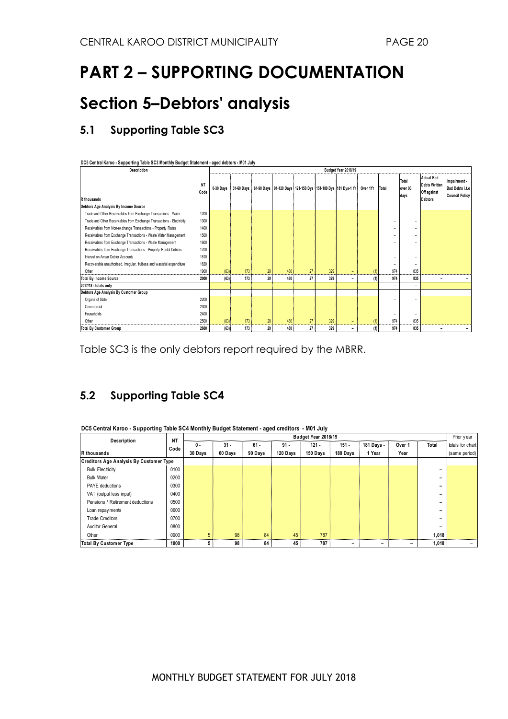## **PART 2 – SUPPORTING DOCUMENTATION**

### <span id="page-19-0"></span>**Section 5–Debtors' analysis**

#### **5.1 Supporting Table SC3**

**DC5 Central Karoo - Supporting Table SC3 Monthly Budget Statement - aged debtors - M01 July**

| Description                                                             |                   |           | Budget Year 2018/19 |    |     |    |     |                                                             |          |                          |                          |                                                                            |                                                          |
|-------------------------------------------------------------------------|-------------------|-----------|---------------------|----|-----|----|-----|-------------------------------------------------------------|----------|--------------------------|--------------------------|----------------------------------------------------------------------------|----------------------------------------------------------|
| R thousands                                                             | <b>NT</b><br>Code | 0-30 Days | 31-60 Days          |    |     |    |     | 61-90 Days 91-120 Days 121-150 Dys 151-180 Dys 181 Dys-1 Yr | Over 1Yr | Total                    | Total<br>over 90<br>days | <b>Actual Bad</b><br><b>Debts Written</b><br>Off against<br><b>Debtors</b> | Impairment -<br>Bad Debts i.t.o<br><b>Council Policy</b> |
| Debtors Age Analysis By Income Source                                   |                   |           |                     |    |     |    |     |                                                             |          |                          |                          |                                                                            |                                                          |
| Trade and Other Receivables from Exchange Transactions - Water          | 1200              |           |                     |    |     |    |     |                                                             |          |                          |                          |                                                                            |                                                          |
| Trade and Other Receivables from Exchange Transactions - Electricity    | 1300              |           |                     |    |     |    |     |                                                             |          | $\overline{\phantom{a}}$ | $\overline{\phantom{0}}$ |                                                                            |                                                          |
| Receivables from Non-exchange Transactions - Property Rates             | 1400              |           |                     |    |     |    |     |                                                             |          |                          |                          |                                                                            |                                                          |
| Receivables from Exchange Transactions - Waste Water Management         | 1500              |           |                     |    |     |    |     |                                                             |          |                          |                          |                                                                            |                                                          |
| Receivables from Exchange Transactions - Waste Management               | 1600              |           |                     |    |     |    |     |                                                             |          |                          | ۰                        |                                                                            |                                                          |
| Receivables from Exchange Transactions - Property Rental Debtors        | 1700              |           |                     |    |     |    |     |                                                             |          |                          | $\overline{\phantom{0}}$ |                                                                            |                                                          |
| Interest on Arrear Debtor Accounts                                      | 1810              |           |                     |    |     |    |     |                                                             |          |                          |                          |                                                                            |                                                          |
| Recoverable unauthorised, irregular, fruitless and wasteful expenditure | 1820              |           |                     |    |     |    |     |                                                             |          |                          |                          |                                                                            |                                                          |
| Other                                                                   | 1900              | (63)      | 173                 | 29 | 480 | 27 | 329 | $\overline{\phantom{0}}$                                    | (1)      | 974                      | 835                      |                                                                            |                                                          |
| <b>Total By Income Source</b>                                           | 2000              | (63)      | 173                 | 29 | 480 | 27 | 329 | $\blacksquare$                                              | (1)      | 974                      | 835                      | -                                                                          |                                                          |
| 2017/18 - totals only                                                   |                   |           |                     |    |     |    |     |                                                             |          | $\overline{\phantom{0}}$ | $\overline{\phantom{a}}$ |                                                                            |                                                          |
| Debtors Age Analysis By Customer Group                                  |                   |           |                     |    |     |    |     |                                                             |          |                          |                          |                                                                            |                                                          |
| Organs of State                                                         | 2200              |           |                     |    |     |    |     |                                                             |          |                          |                          |                                                                            |                                                          |
| Commercial                                                              | 2300              |           |                     |    |     |    |     |                                                             |          |                          |                          |                                                                            |                                                          |
| Households                                                              | 2400              |           |                     |    |     |    |     |                                                             |          |                          |                          |                                                                            |                                                          |
| Other                                                                   | 2500              | (63)      | 173                 | 29 | 480 | 27 | 329 | $\overline{\phantom{0}}$                                    | (1)      | 974                      | 835                      |                                                                            |                                                          |
| <b>Total By Customer Group</b>                                          | 2600              | (63)      | 173                 | 29 | 480 | 27 | 329 | $\overline{\phantom{a}}$                                    | (1)      | 974                      | 835                      |                                                                            | -                                                        |

Table SC3 is the only debtors report required by the MBRR.

### **5.2 Supporting Table SC4**

|                                                |           |         | Budget Year 2018/19 |         |          |          |          |            |        |       |                  |  |  |
|------------------------------------------------|-----------|---------|---------------------|---------|----------|----------|----------|------------|--------|-------|------------------|--|--|
| Description<br>Code                            | <b>NT</b> | 0 -     | $31 -$              | 61 -    | $91 -$   | $121 -$  | $151 -$  | 181 Days - | Over 1 | Total | totals for chart |  |  |
| R thousands                                    |           | 30 Days | 60 Days             | 90 Days | 120 Days | 150 Days | 180 Days | 1 Year     | Year   |       | (same period)    |  |  |
| <b>Creditors Age Analysis By Customer Type</b> |           |         |                     |         |          |          |          |            |        |       |                  |  |  |
| <b>Bulk Electricity</b>                        | 0100      |         |                     |         |          |          |          |            |        | -     |                  |  |  |
| <b>Bulk Water</b>                              | 0200      |         |                     |         |          |          |          |            |        | -     |                  |  |  |
| <b>PAYE</b> deductions                         | 0300      |         |                     |         |          |          |          |            |        | -     |                  |  |  |
| VAT (output less input)                        | 0400      |         |                     |         |          |          |          |            |        | -     |                  |  |  |
| Pensions / Retirement deductions               | 0500      |         |                     |         |          |          |          |            |        | -     |                  |  |  |
| Loan repay ments                               | 0600      |         |                     |         |          |          |          |            |        | -     |                  |  |  |
| <b>Trade Creditors</b>                         | 0700      |         |                     |         |          |          |          |            |        | -     |                  |  |  |
| <b>Auditor General</b>                         | 0800      |         |                     |         |          |          |          |            |        | -     |                  |  |  |
| Other                                          | 0900      | 5       | 98                  | 84      | 45       | 787      |          |            |        | 1,018 |                  |  |  |
| <b>Total By Customer Type</b>                  | 1000      | 5       | 98                  | 84      | 45       | 787      |          | -          |        | 1,018 |                  |  |  |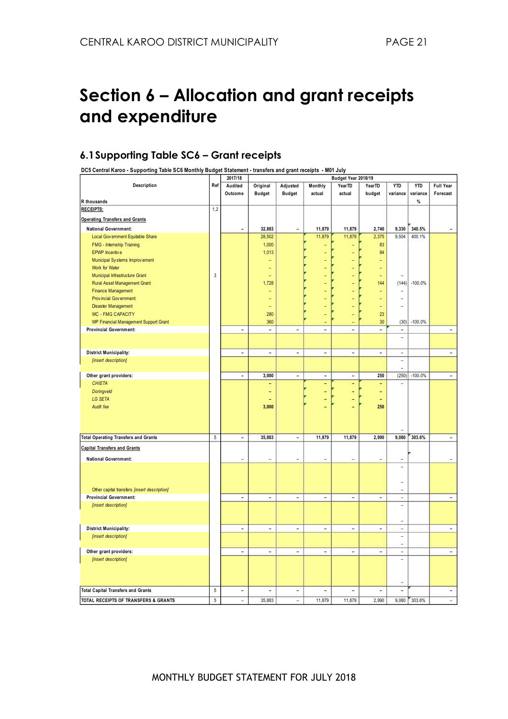## <span id="page-20-0"></span>**Section 6 – Allocation and grant receipts and expenditure**

#### **6.1Supporting Table SC6 – Grant receipts**

| DC5 Central Karoo - Supporting Table SC6 Monthly Budget Statement - transfers and grant receipts  - M01 July |             |                          |                          |                          |                          |                          |                          |                              |            |                          |
|--------------------------------------------------------------------------------------------------------------|-------------|--------------------------|--------------------------|--------------------------|--------------------------|--------------------------|--------------------------|------------------------------|------------|--------------------------|
|                                                                                                              |             | 2017/18                  |                          |                          |                          | Budget Year 2018/19      |                          |                              |            |                          |
| Description                                                                                                  | Ref         | Audited                  | Original                 | Adjusted                 | Monthly                  | YearTD                   | YearTD                   | <b>YTD</b>                   | <b>YTD</b> | <b>Full Year</b>         |
|                                                                                                              |             | Outcome                  | <b>Budget</b>            | <b>Budget</b>            | actual                   | actual                   | budget                   | variance                     | variance   | Forecast                 |
| R thousands                                                                                                  |             |                          |                          |                          |                          |                          |                          |                              | $\%$       |                          |
| <b>RECEIPTS:</b>                                                                                             | 1,2         |                          |                          |                          |                          |                          |                          |                              |            |                          |
| <b>Operating Transfers and Grants</b>                                                                        |             |                          |                          |                          |                          |                          |                          |                              |            |                          |
| <b>National Government:</b>                                                                                  |             |                          | 32,883                   |                          | 11,879                   | 11,879                   | 2,740                    | 9,330                        | 340.5%     |                          |
| Local Government Equitable Share                                                                             |             |                          | 28,502                   |                          | 11,879                   | 11,879                   | 2,375                    | 9,504                        | 400.1%     |                          |
| FMG - Internship Training                                                                                    |             |                          | 1,000                    |                          |                          |                          | 83                       |                              |            |                          |
| EPWP Incentive                                                                                               |             |                          | 1,013                    |                          |                          |                          | 84                       |                              |            |                          |
| Municipal Systems Improvement                                                                                |             |                          |                          |                          |                          |                          |                          |                              |            |                          |
| Work for Water                                                                                               |             |                          | ۰                        |                          |                          |                          |                          |                              |            |                          |
| Municipal Infrastructure Grant                                                                               | $\mathsf 3$ |                          |                          |                          |                          |                          | ÷                        |                              |            |                          |
| Rural Asset Management Grant                                                                                 |             |                          | 1,728                    |                          |                          |                          | 144                      | (144)                        | $-100.0%$  |                          |
| <b>Finance Management</b>                                                                                    |             |                          |                          |                          |                          |                          |                          |                              |            |                          |
| Provincial Government                                                                                        |             |                          |                          |                          |                          |                          | ÷                        |                              |            |                          |
| <b>Disaster Management</b>                                                                                   |             |                          | ۰                        |                          |                          |                          | ÷                        | ÷,                           |            |                          |
| <b>WC - FMG CAPACITY</b>                                                                                     |             |                          | 280                      |                          |                          |                          | 23                       |                              |            |                          |
| <b>WP Financial Management Support Grant</b>                                                                 |             |                          | 360                      |                          |                          |                          | 30                       | (30)                         | $-100.0%$  |                          |
| <b>Provincial Government:</b>                                                                                |             | $\overline{\phantom{a}}$ | $\overline{\phantom{a}}$ | $\blacksquare$           | $\blacksquare$           | $\overline{\phantom{0}}$ | $\overline{a}$           | $\qquad \qquad \blacksquare$ |            | $\blacksquare$           |
|                                                                                                              |             |                          |                          |                          |                          |                          |                          | L,                           |            |                          |
|                                                                                                              |             |                          |                          |                          |                          |                          |                          |                              |            |                          |
| <b>District Municipality:</b>                                                                                |             | $\overline{\phantom{0}}$ | $\overline{\phantom{a}}$ | $\overline{\phantom{a}}$ | $\overline{\phantom{a}}$ | $\overline{\phantom{a}}$ | $\overline{\phantom{a}}$ | $\overline{\phantom{a}}$     |            | $\overline{\phantom{0}}$ |
| [insert description]                                                                                         |             |                          |                          |                          |                          |                          |                          | ÷,<br>÷,                     |            |                          |
| Other grant providers:                                                                                       |             | ÷,                       | 3,000                    | $\overline{\phantom{a}}$ | $\overline{a}$           | ÷,                       | 250                      | (250)                        | $-100.0%$  | $\overline{a}$           |
| <b>CHIETA</b>                                                                                                |             |                          |                          |                          |                          |                          | ۰                        |                              |            |                          |
| <b>Doringveld</b>                                                                                            |             |                          |                          |                          |                          | ÷                        | ÷                        |                              |            |                          |
| <b>LG SETA</b>                                                                                               |             |                          |                          |                          |                          | ٠                        | -                        |                              |            |                          |
| Audit fee                                                                                                    |             |                          | 3,000                    |                          |                          | Ē.                       | 250                      |                              |            |                          |
|                                                                                                              |             |                          |                          |                          |                          |                          |                          |                              |            |                          |
|                                                                                                              |             |                          |                          |                          |                          |                          |                          |                              |            |                          |
|                                                                                                              |             |                          |                          |                          |                          |                          |                          |                              |            |                          |
| <b>Total Operating Transfers and Grants</b>                                                                  | $\sqrt{5}$  | $\overline{\phantom{a}}$ | 35,883                   | $\overline{\phantom{a}}$ | 11,879                   | 11,879                   | 2,990                    | 9,080                        | 303.6%     | $\overline{\phantom{0}}$ |
| <b>Capital Transfers and Grants</b>                                                                          |             |                          |                          |                          |                          |                          |                          |                              |            |                          |
| <b>National Government:</b>                                                                                  |             | L.                       | L,                       |                          | L,                       | L,                       |                          |                              |            |                          |
|                                                                                                              |             |                          |                          |                          |                          |                          |                          | ۳                            |            |                          |
|                                                                                                              |             |                          |                          |                          |                          |                          |                          |                              |            |                          |
|                                                                                                              |             |                          |                          |                          |                          |                          |                          |                              |            |                          |
| Other capital transfers [insert description]                                                                 |             |                          |                          |                          |                          |                          |                          | ۳                            |            |                          |
| Provincial Government:                                                                                       |             | $\overline{a}$           | $\overline{a}$           | $\overline{a}$           | $\overline{a}$           | $\overline{a}$           | $\overline{a}$           | L.                           |            | ÷,                       |
| [insert description]                                                                                         |             |                          |                          |                          |                          |                          |                          | L,                           |            |                          |
|                                                                                                              |             |                          |                          |                          |                          |                          |                          |                              |            |                          |
|                                                                                                              |             |                          |                          |                          |                          |                          |                          | ۳                            |            |                          |
| <b>District Municipality:</b>                                                                                |             | $\overline{\phantom{a}}$ | $\overline{a}$           | $\overline{\phantom{a}}$ | $\blacksquare$           | $\overline{\phantom{0}}$ | ÷,                       | $\overline{\phantom{m}}$     |            | ÷,                       |
| [insert description]                                                                                         |             |                          |                          |                          |                          |                          |                          | $\overline{\phantom{0}}$     |            |                          |
|                                                                                                              |             |                          |                          |                          |                          |                          |                          | ٠                            |            |                          |
| Other grant providers:                                                                                       |             | ÷,                       | $\overline{a}$           | $\frac{1}{2}$            | $\frac{1}{2}$            | $\overline{\phantom{0}}$ | $\overline{a}$           | $\overline{\phantom{0}}$     |            | $\overline{\phantom{a}}$ |
| [insert description]                                                                                         |             |                          |                          |                          |                          |                          |                          | ۳                            |            |                          |
|                                                                                                              |             |                          |                          |                          |                          |                          |                          |                              |            |                          |
|                                                                                                              |             |                          |                          |                          |                          |                          |                          |                              |            |                          |
| <b>Total Capital Transfers and Grants</b>                                                                    | 5           | $\overline{\phantom{0}}$ | $\overline{\phantom{0}}$ | $\overline{\phantom{a}}$ |                          |                          | ۳                        | L.                           |            | $\overline{\phantom{0}}$ |
| TOTAL RECEIPTS OF TRANSFERS & GRANTS                                                                         | 5           | $\overline{\phantom{a}}$ | 35,883                   | $\overline{\phantom{a}}$ | 11,879                   | 11,879                   | 2,990                    | 9,080                        | 303.6%     | $\overline{\phantom{0}}$ |
|                                                                                                              |             |                          |                          |                          |                          |                          |                          |                              |            |                          |

**DC5 Central Karoo - Supporting Table SC6 Monthly Budget Statement - transfers and grant receipts - M01 July**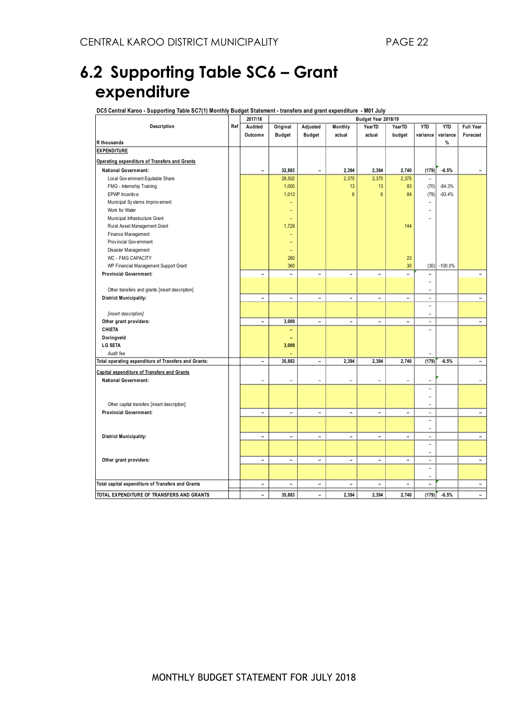### **6.2 Supporting Table SC6 – Grant expenditure**

**DC5 Central Karoo - Supporting Table SC7(1) Monthly Budget Statement - transfers and grant expenditure - M01 July**

|                                                      |     | 2017/18                      | Budget Year 2018/19      |                              |                          |                          |                          |                          |            |                          |  |  |
|------------------------------------------------------|-----|------------------------------|--------------------------|------------------------------|--------------------------|--------------------------|--------------------------|--------------------------|------------|--------------------------|--|--|
| Description                                          | Ref | Audited                      | Original                 | Adjusted                     | Monthly                  | YearTD                   | Year <sub>TD</sub>       | <b>YTD</b>               | <b>YTD</b> | Full Year                |  |  |
|                                                      |     | Outcome                      | <b>Budget</b>            | <b>Budget</b>                | actual                   | actual                   | budget                   | variance                 | variance   | Forecast                 |  |  |
| R thousands                                          |     |                              |                          |                              |                          |                          |                          |                          | $\%$       |                          |  |  |
| <b>EXPENDITURE</b>                                   |     |                              |                          |                              |                          |                          |                          |                          |            |                          |  |  |
| Operating expenditure of Transfers and Grants        |     |                              |                          |                              |                          |                          |                          |                          |            |                          |  |  |
| <b>National Government:</b>                          |     | ÷                            | 32,883                   | $\blacksquare$               | 2,394                    | 2,394                    | 2,740                    | (179)                    | $-6.5%$    |                          |  |  |
| Local Government Equitable Share                     |     |                              | 28,502                   |                              | 2,375                    | 2,375                    | 2,375                    |                          |            |                          |  |  |
| FMG - Internship Training                            |     |                              | 1,000                    |                              | 13                       | 13                       | 83                       | (70)                     | $-84.3%$   |                          |  |  |
| EPWP Incentive                                       |     |                              | 1,013                    |                              | $6\phantom{1}$           | 6                        | 84                       | (79)                     | $-93.4%$   |                          |  |  |
| Municipal Systems Improvement                        |     |                              |                          |                              |                          |                          |                          | $\overline{a}$           |            |                          |  |  |
| Work for Water                                       |     |                              | -                        |                              |                          |                          |                          | -                        |            |                          |  |  |
| Municipal Infrastructure Grant                       |     |                              | ۰                        |                              |                          |                          |                          |                          |            |                          |  |  |
| Rural Asset Management Grant                         |     |                              | 1,728                    |                              |                          |                          | 144                      |                          |            |                          |  |  |
| Finance Management                                   |     |                              |                          |                              |                          |                          |                          |                          |            |                          |  |  |
| Provincial Government:                               |     |                              |                          |                              |                          |                          |                          |                          |            |                          |  |  |
| Disaster Management                                  |     |                              | $\qquad \qquad -$        |                              |                          |                          |                          |                          |            |                          |  |  |
| WC - FMG CAPACITY                                    |     |                              | 280                      |                              |                          |                          | 23                       |                          |            |                          |  |  |
| WP Financial Management Support Grant                |     |                              | 360                      |                              |                          |                          | 30                       | (30)                     | $-100.0%$  |                          |  |  |
| <b>Provincial Government:</b>                        |     | ۳                            | $\overline{a}$           | $\rightarrow$                | $\overline{\phantom{0}}$ | Ē,                       | $\equiv$                 |                          |            |                          |  |  |
|                                                      |     |                              |                          |                              |                          |                          |                          | $\overline{\phantom{0}}$ |            |                          |  |  |
| Other transfers and grants [insert description]      |     |                              |                          |                              |                          |                          |                          | -                        |            |                          |  |  |
| <b>District Municipality:</b>                        |     | $\overline{\phantom{0}}$     | $\overline{\phantom{a}}$ | $\overline{\phantom{a}}$     | $\qquad \qquad -$        | $\overline{\phantom{a}}$ | $\overline{\phantom{a}}$ | $\sim$                   |            | $\qquad \qquad -$        |  |  |
|                                                      |     |                              |                          |                              |                          |                          |                          | $\overline{\phantom{a}}$ |            |                          |  |  |
| [insert description]                                 |     |                              |                          |                              |                          |                          |                          | ÷,                       |            |                          |  |  |
| Other grant providers:                               |     | L,                           | 3,000                    | $\overline{\phantom{0}}$     | $\blacksquare$           | $\overline{\phantom{a}}$ | $\overline{\phantom{0}}$ | $\overline{\phantom{a}}$ |            | $\blacksquare$           |  |  |
| CHIETA                                               |     |                              | -                        |                              |                          |                          |                          | $\overline{\phantom{0}}$ |            |                          |  |  |
| Doringveld                                           |     |                              | ٠                        |                              |                          |                          |                          |                          |            |                          |  |  |
| <b>LG SETA</b>                                       |     |                              | 3,000                    |                              |                          |                          |                          |                          |            |                          |  |  |
| Audit fee                                            |     |                              |                          |                              |                          |                          |                          |                          |            |                          |  |  |
| Total operating expenditure of Transfers and Grants: |     | $\overline{\phantom{a}}$     | 35,883                   | $\overline{\phantom{a}}$     | 2,394                    | 2,394                    | 2,740                    | (179)                    | $-6.5%$    | $\overline{\phantom{0}}$ |  |  |
| <b>Capital expenditure of Transfers and Grants</b>   |     |                              |                          |                              |                          |                          |                          |                          |            |                          |  |  |
| <b>National Government:</b>                          |     | L.                           |                          |                              |                          | L,                       |                          |                          |            | ÷,                       |  |  |
|                                                      |     |                              |                          |                              |                          |                          |                          | $\overline{\phantom{a}}$ |            |                          |  |  |
|                                                      |     |                              |                          |                              |                          |                          |                          | ۰                        |            |                          |  |  |
| Other capital transfers [insert description]         |     |                              |                          |                              |                          |                          |                          | $\overline{\phantom{0}}$ |            |                          |  |  |
| <b>Provincial Government:</b>                        |     | Ξ.                           | $\overline{\phantom{a}}$ | $\overline{\phantom{0}}$     | $\overline{a}$           | -                        | -                        | $\overline{\phantom{a}}$ |            | $\overline{\phantom{0}}$ |  |  |
|                                                      |     |                              |                          |                              |                          |                          |                          | $\overline{\phantom{0}}$ |            |                          |  |  |
|                                                      |     |                              |                          |                              |                          |                          |                          | $\overline{\phantom{a}}$ |            |                          |  |  |
| <b>District Municipality:</b>                        |     | $\frac{1}{2}$                | $\blacksquare$           | $\blacksquare$               | $\blacksquare$           | $\overline{\phantom{a}}$ | $\blacksquare$           | $\bar{\phantom{a}}$      |            | $\overline{\phantom{a}}$ |  |  |
|                                                      |     |                              |                          |                              |                          |                          |                          | ÷,                       |            |                          |  |  |
|                                                      |     |                              |                          |                              |                          |                          |                          | $\overline{\phantom{a}}$ |            |                          |  |  |
| Other grant providers:                               |     | $\qquad \qquad \blacksquare$ | $\blacksquare$           | $\overline{\phantom{0}}$     | $\overline{\phantom{0}}$ | -                        | ۰                        | $\qquad \qquad -$        |            | $\overline{\phantom{0}}$ |  |  |
|                                                      |     |                              |                          |                              |                          |                          |                          | $\overline{\phantom{a}}$ |            |                          |  |  |
|                                                      |     |                              |                          |                              |                          |                          |                          | $\overline{\phantom{0}}$ |            |                          |  |  |
| Total capital expenditure of Transfers and Grants    |     |                              |                          |                              |                          |                          |                          |                          |            |                          |  |  |
|                                                      |     |                              |                          |                              |                          |                          |                          |                          |            |                          |  |  |
| TOTAL EXPENDITURE OF TRANSFERS AND GRANTS            |     | $\overline{\phantom{a}}$     | 35,883                   | $\qquad \qquad \blacksquare$ | 2,394                    | 2,394                    | 2,740                    | (179)                    | $-6.5%$    | $\overline{a}$           |  |  |